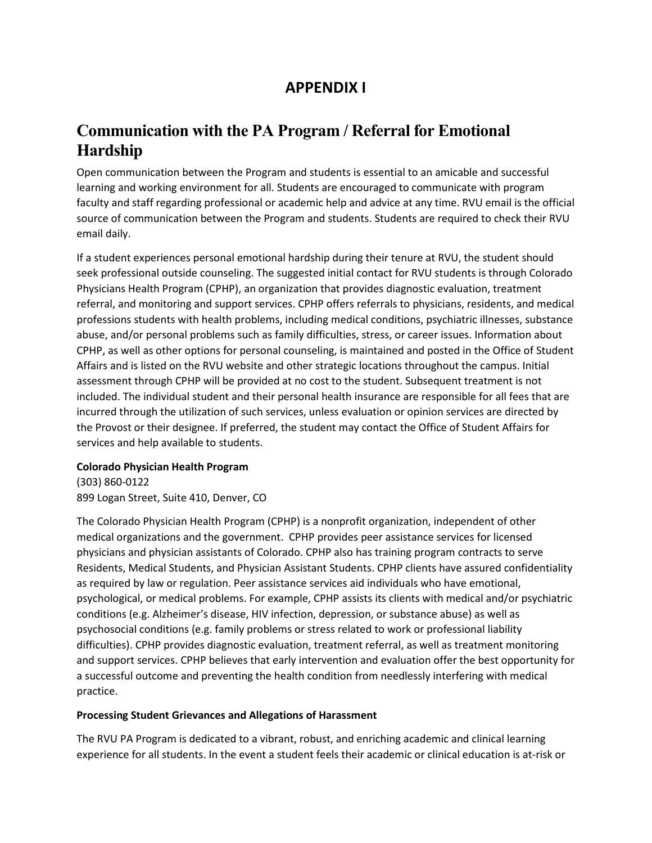## **APPENDIX I**

# **Communication with the PA Program / Referral for Emotional Hardship**

Open communication between the Program and students is essential to an amicable and successful learning and working environment for all. Students are encouraged to communicate with program faculty and staff regarding professional or academic help and advice at any time. RVU email is the official source of communication between the Program and students. Students are required to check their RVU email daily.

If a student experiences personal emotional hardship during their tenure at RVU, the student should seek professional outside counseling. The suggested initial contact for RVU students is through Colorado Physicians Health Program (CPHP), an organization that provides diagnostic evaluation, treatment referral, and monitoring and support services. CPHP offers referrals to physicians, residents, and medical professions students with health problems, including medical conditions, psychiatric illnesses, substance abuse, and/or personal problems such as family difficulties, stress, or career issues. Information about CPHP, as well as other options for personal counseling, is maintained and posted in the Office of Student Affairs and is listed on the RVU website and other strategic locations throughout the campus. Initial assessment through CPHP will be provided at no cost to the student. Subsequent treatment is not included. The individual student and their personal health insurance are responsible for all fees that are incurred through the utilization of such services, unless evaluation or opinion services are directed by the Provost or their designee. If preferred, the student may contact the Office of Student Affairs for services and help available to students.

#### **Colorado Physician Health Program**

(303) 860-0122 899 Logan Street, Suite 410, Denver, CO

The Colorado Physician Health Program (CPHP) is a nonprofit organization, independent of other medical organizations and the government. CPHP provides peer assistance services for licensed physicians and physician assistants of Colorado. CPHP also has training program contracts to serve Residents, Medical Students, and Physician Assistant Students. CPHP clients have assured confidentiality as required by law or regulation. Peer assistance services aid individuals who have emotional, psychological, or medical problems. For example, CPHP assists its clients with medical and/or psychiatric conditions (e.g. Alzheimer's disease, HIV infection, depression, or substance abuse) as well as psychosocial conditions (e.g. family problems or stress related to work or professional liability difficulties). CPHP provides diagnostic evaluation, treatment referral, as well as treatment monitoring and support services. CPHP believes that early intervention and evaluation offer the best opportunity for a successful outcome and preventing the health condition from needlessly interfering with medical practice.

#### **Processing Student Grievances and Allegations of Harassment**

The RVU PA Program is dedicated to a vibrant, robust, and enriching academic and clinical learning experience for all students. In the event a student feels their academic or clinical education is at-risk or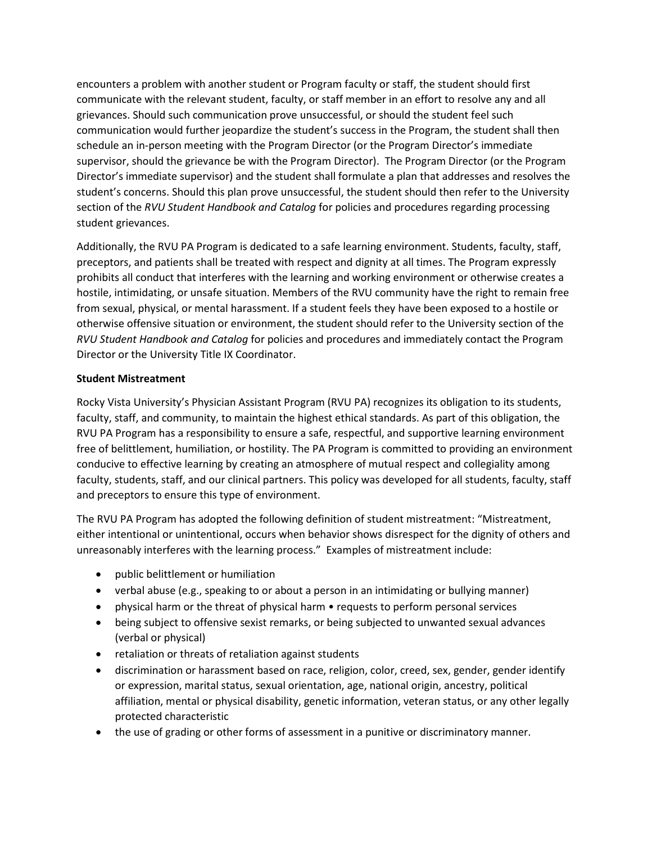encounters a problem with another student or Program faculty or staff, the student should first communicate with the relevant student, faculty, or staff member in an effort to resolve any and all grievances. Should such communication prove unsuccessful, or should the student feel such communication would further jeopardize the student's success in the Program, the student shall then schedule an in-person meeting with the Program Director (or the Program Director's immediate supervisor, should the grievance be with the Program Director). The Program Director (or the Program Director's immediate supervisor) and the student shall formulate a plan that addresses and resolves the student's concerns. Should this plan prove unsuccessful, the student should then refer to the University section of the *RVU Student Handbook and Catalog* for policies and procedures regarding processing student grievances.

Additionally, the RVU PA Program is dedicated to a safe learning environment. Students, faculty, staff, preceptors, and patients shall be treated with respect and dignity at all times. The Program expressly prohibits all conduct that interferes with the learning and working environment or otherwise creates a hostile, intimidating, or unsafe situation. Members of the RVU community have the right to remain free from sexual, physical, or mental harassment. If a student feels they have been exposed to a hostile or otherwise offensive situation or environment, the student should refer to the University section of the *RVU Student Handbook and Catalog* for policies and procedures and immediately contact the Program Director or the University Title IX Coordinator.

#### **Student Mistreatment**

Rocky Vista University's Physician Assistant Program (RVU PA) recognizes its obligation to its students, faculty, staff, and community, to maintain the highest ethical standards. As part of this obligation, the RVU PA Program has a responsibility to ensure a safe, respectful, and supportive learning environment free of belittlement, humiliation, or hostility. The PA Program is committed to providing an environment conducive to effective learning by creating an atmosphere of mutual respect and collegiality among faculty, students, staff, and our clinical partners. This policy was developed for all students, faculty, staff and preceptors to ensure this type of environment.

The RVU PA Program has adopted the following definition of student mistreatment: "Mistreatment, either intentional or unintentional, occurs when behavior shows disrespect for the dignity of others and unreasonably interferes with the learning process." Examples of mistreatment include:

- public belittlement or humiliation
- verbal abuse (e.g., speaking to or about a person in an intimidating or bullying manner)
- physical harm or the threat of physical harm requests to perform personal services
- being subject to offensive sexist remarks, or being subjected to unwanted sexual advances (verbal or physical)
- retaliation or threats of retaliation against students
- discrimination or harassment based on race, religion, color, creed, sex, gender, gender identify or expression, marital status, sexual orientation, age, national origin, ancestry, political affiliation, mental or physical disability, genetic information, veteran status, or any other legally protected characteristic
- the use of grading or other forms of assessment in a punitive or discriminatory manner.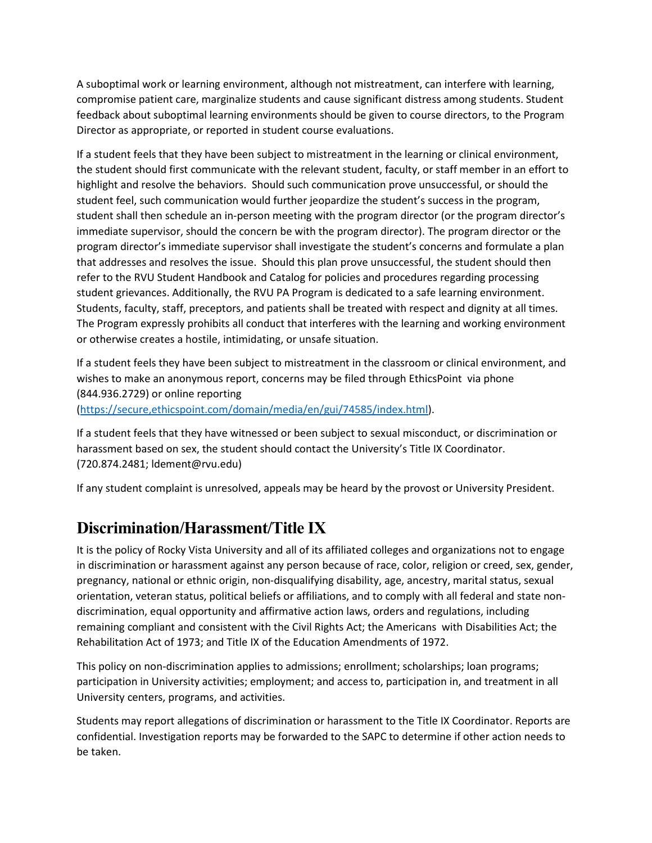A suboptimal work or learning environment, although not mistreatment, can interfere with learning, compromise patient care, marginalize students and cause significant distress among students. Student feedback about suboptimal learning environments should be given to course directors, to the Program Director as appropriate, or reported in student course evaluations.

If a student feels that they have been subject to mistreatment in the learning or clinical environment, the student should first communicate with the relevant student, faculty, or staff member in an effort to highlight and resolve the behaviors. Should such communication prove unsuccessful, or should the student feel, such communication would further jeopardize the student's success in the program, student shall then schedule an in-person meeting with the program director (or the program director's immediate supervisor, should the concern be with the program director). The program director or the program director's immediate supervisor shall investigate the student's concerns and formulate a plan that addresses and resolves the issue. Should this plan prove unsuccessful, the student should then refer to the RVU Student Handbook and Catalog for policies and procedures regarding processing student grievances. Additionally, the RVU PA Program is dedicated to a safe learning environment. Students, faculty, staff, preceptors, and patients shall be treated with respect and dignity at all times. The Program expressly prohibits all conduct that interferes with the learning and working environment or otherwise creates a hostile, intimidating, or unsafe situation.

If a student feels they have been subject to mistreatment in the classroom or clinical environment, and wishes to make an anonymous report, concerns may be filed through EthicsPoint via phone (844.936.2729) or online reporting [\(https://secure,ethicspoint.com/domain/media/en/gui/74585/index.html\)](https://secure,ethicspoint.com/domain/media/en/gui/74585/index.html).

If a student feels that they have witnessed or been subject to sexual misconduct, or discrimination or harassment based on sex, the student should contact the University's Title IX Coordinator. (720.874.2481; ldement@rvu.edu)

If any student complaint is unresolved, appeals may be heard by the provost or University President.

# **Discrimination/Harassment/Title IX**

It is the policy of Rocky Vista University and all of its affiliated colleges and organizations not to engage in discrimination or harassment against any person because of race, color, religion or creed, sex, gender, pregnancy, national or ethnic origin, non-disqualifying disability, age, ancestry, marital status, sexual orientation, veteran status, political beliefs or affiliations, and to comply with all federal and state nondiscrimination, equal opportunity and affirmative action laws, orders and regulations, including remaining compliant and consistent with the Civil Rights Act; the Americans with Disabilities Act; the Rehabilitation Act of 1973; and Title IX of the Education Amendments of 1972.

This policy on non-discrimination applies to admissions; enrollment; scholarships; loan programs; participation in University activities; employment; and access to, participation in, and treatment in all University centers, programs, and activities.

Students may report allegations of discrimination or harassment to the Title IX Coordinator. Reports are confidential. Investigation reports may be forwarded to the SAPC to determine if other action needs to be taken.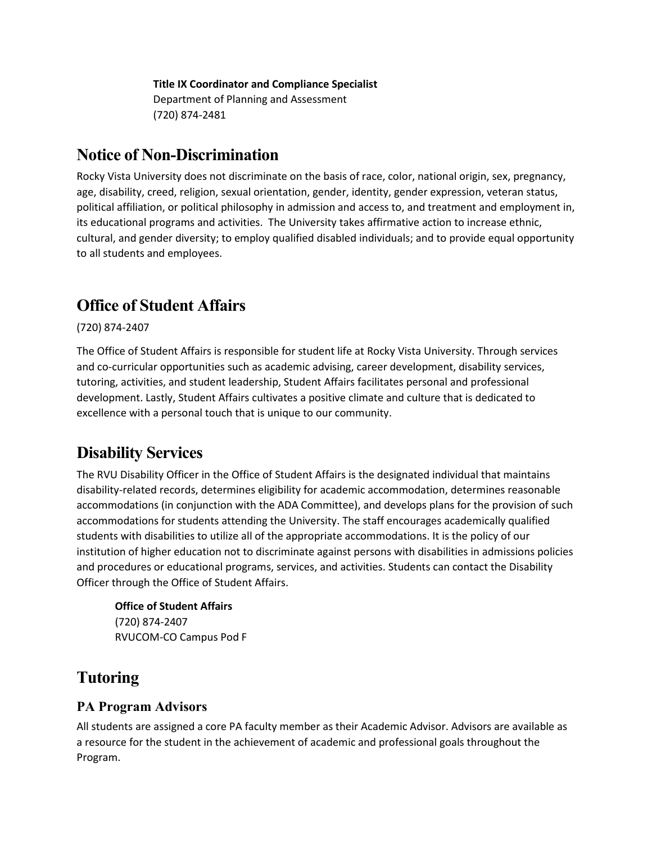**Title IX Coordinator and Compliance Specialist**

Department of Planning and Assessment (720) 874-2481

## **Notice of Non-Discrimination**

Rocky Vista University does not discriminate on the basis of race, color, national origin, sex, pregnancy, age, disability, creed, religion, sexual orientation, gender, identity, gender expression, veteran status, political affiliation, or political philosophy in admission and access to, and treatment and employment in, its educational programs and activities. The University takes affirmative action to increase ethnic, cultural, and gender diversity; to employ qualified disabled individuals; and to provide equal opportunity to all students and employees.

# **Office of Student Affairs**

(720) 874-2407

The Office of Student Affairs is responsible for student life at Rocky Vista University. Through services and co-curricular opportunities such as academic advising, career development, disability services, tutoring, activities, and student leadership, Student Affairs facilitates personal and professional development. Lastly, Student Affairs cultivates a positive climate and culture that is dedicated to excellence with a personal touch that is unique to our community.

# **Disability Services**

The RVU Disability Officer in the Office of Student Affairs is the designated individual that maintains disability-related records, determines eligibility for academic accommodation, determines reasonable accommodations (in conjunction with the ADA Committee), and develops plans for the provision of such accommodations for students attending the University. The staff encourages academically qualified students with disabilities to utilize all of the appropriate accommodations. It is the policy of our institution of higher education not to discriminate against persons with disabilities in admissions policies and procedures or educational programs, services, and activities. Students can contact the Disability Officer through the Office of Student Affairs.

#### **Office of Student Affairs** (720) 874-2407 RVUCOM-CO Campus Pod F

# **Tutoring**

## **PA Program Advisors**

All students are assigned a core PA faculty member as their Academic Advisor. Advisors are available as a resource for the student in the achievement of academic and professional goals throughout the Program.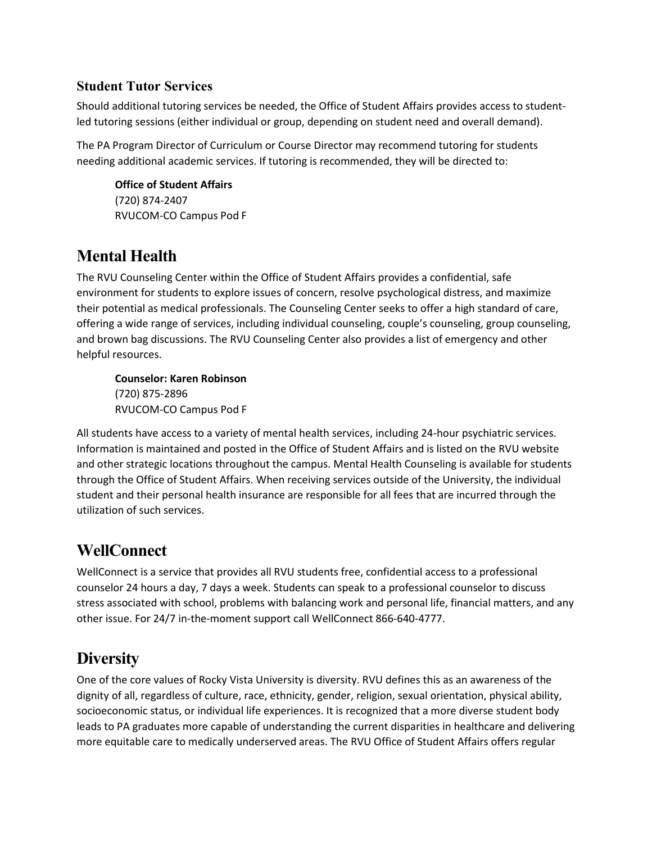### **Student Tutor Services**

Should additional tutoring services be needed, the Office of Student Affairs provides access to studentled tutoring sessions (either individual or group, depending on student need and overall demand).

The PA Program Director of Curriculum or Course Director may recommend tutoring for students needing additional academic services. If tutoring is recommended, they will be directed to:

**Office of Student Affairs** (720) 874-2407 RVUCOM-CO Campus Pod F

# **Mental Health**

The RVU Counseling Center within the Office of Student Affairs provides a confidential, safe environment for students to explore issues of concern, resolve psychological distress, and maximize their potential as medical professionals. The Counseling Center seeks to offer a high standard of care, offering a wide range of services, including individual counseling, couple's counseling, group counseling, and brown bag discussions. The RVU Counseling Center also provides a list of emergency and other helpful resources.

**Counselor: Karen Robinson** (720) 875-2896 RVUCOM-CO Campus Pod F

All students have access to a variety of mental health services, including 24-hour psychiatric services. Information is maintained and posted in the Office of Student Affairs and is listed on the RVU website and other strategic locations throughout the campus. Mental Health Counseling is available for students through the Office of Student Affairs. When receiving services outside of the University, the individual student and their personal health insurance are responsible for all fees that are incurred through the utilization of such services.

# **WellConnect**

WellConnect is a service that provides all RVU students free, confidential access to a professional counselor 24 hours a day, 7 days a week. Students can speak to a professional counselor to discuss stress associated with school, problems with balancing work and personal life, financial matters, and any other issue. For 24/7 in-the-moment support call WellConnect 866-640-4777.

# **Diversity**

One of the core values of Rocky Vista University is diversity. RVU defines this as an awareness of the dignity of all, regardless of culture, race, ethnicity, gender, religion, sexual orientation, physical ability, socioeconomic status, or individual life experiences. It is recognized that a more diverse student body leads to PA graduates more capable of understanding the current disparities in healthcare and delivering more equitable care to medically underserved areas. The RVU Office of Student Affairs offers regular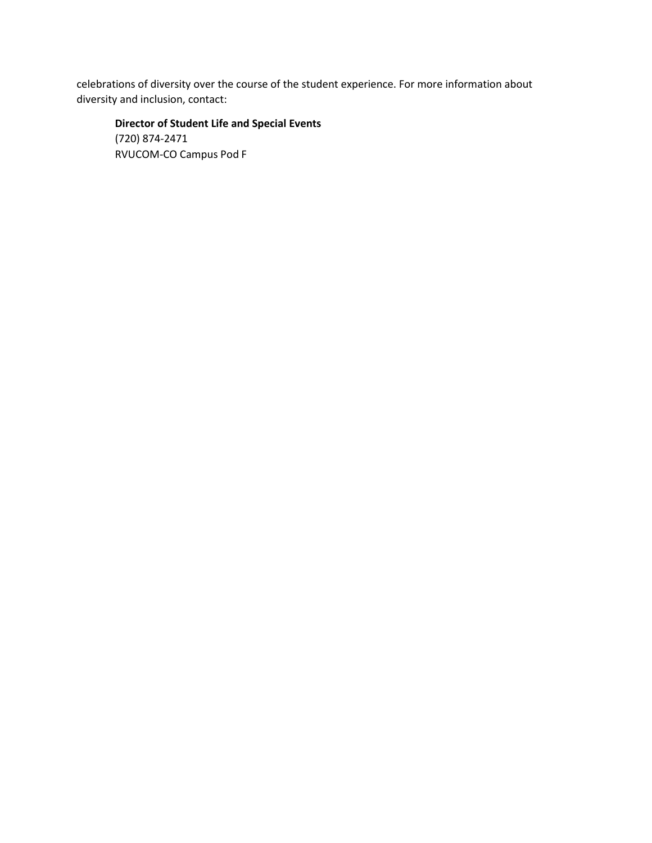celebrations of diversity over the course of the student experience. For more information about diversity and inclusion, contact:

**Director of Student Life and Special Events** (720) 874-2471 RVUCOM-CO Campus Pod F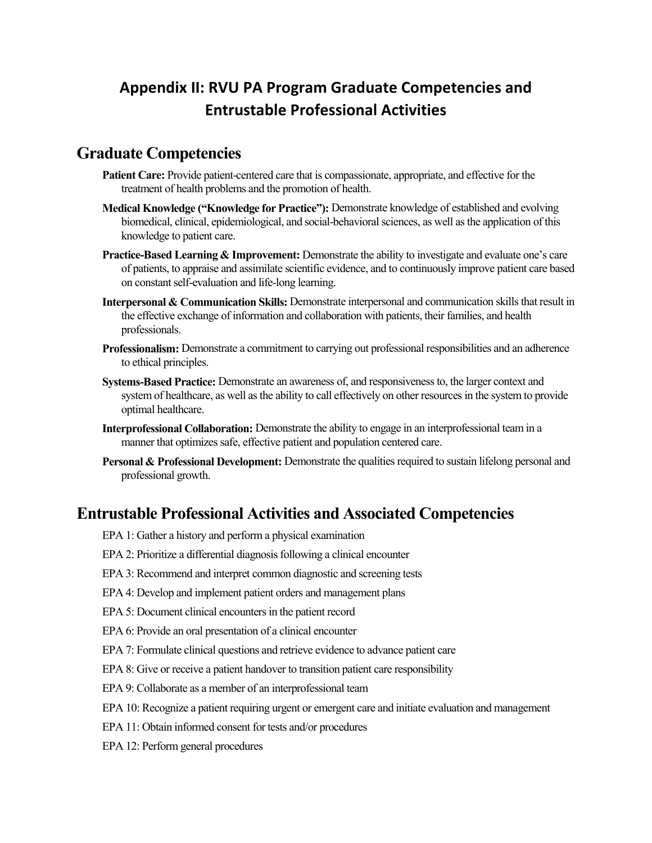# **Appendix II: RVU PA Program Graduate Competencies and Entrustable Professional Activities**

## **Graduate Competencies**

- Patient Care: Provide patient-centered care that is compassionate, appropriate, and effective for the treatment of health problems and the promotion of health.
- **Medical Knowledge ("Knowledge for Practice"):** Demonstrate knowledge of established and evolving biomedical, clinical, epidemiological, and social-behavioral sciences, as well as the application of this knowledge to patient care.
- **Practice-Based Learning & Improvement:** Demonstrate the ability to investigate and evaluate one's care of patients, to appraise and assimilate scientific evidence, and to continuously improve patient care based on constant self-evaluation and life-long learning.
- **Interpersonal & Communication Skills:** Demonstrate interpersonal and communication skills that result in the effective exchange of information and collaboration with patients, their families, and health professionals.
- **Professionalism:** Demonstrate a commitment to carrying out professional responsibilities and an adherence to ethical principles.
- **Systems-Based Practice:** Demonstrate an awareness of, and responsiveness to, the larger context and system of healthcare, as well as the ability to call effectively on other resources in the system to provide optimal healthcare.
- **Interprofessional Collaboration:** Demonstrate the ability to engage in an interprofessional team in a manner that optimizes safe, effective patient and population centered care.
- **Personal & Professional Development:** Demonstrate the qualities required to sustain lifelong personal and professional growth.

## **Entrustable Professional Activities and Associated Competencies**

- EPA 1: Gather a history and perform a physical examination
- EPA 2: Prioritize a differential diagnosis following a clinical encounter
- EPA 3: Recommend and interpret common diagnostic and screening tests
- EPA 4: Develop and implement patient orders and management plans
- EPA 5: Document clinical encounters in the patient record
- EPA 6: Provide an oral presentation of a clinical encounter
- EPA 7: Formulate clinical questions and retrieve evidence to advance patient care
- EPA 8: Give or receive a patient handover to transition patient care responsibility
- EPA 9: Collaborate as a member of an interprofessional team
- EPA 10: Recognize a patient requiring urgent or emergent care and initiate evaluation and management
- EPA 11: Obtain informed consent for tests and/or procedures
- EPA 12: Perform general procedures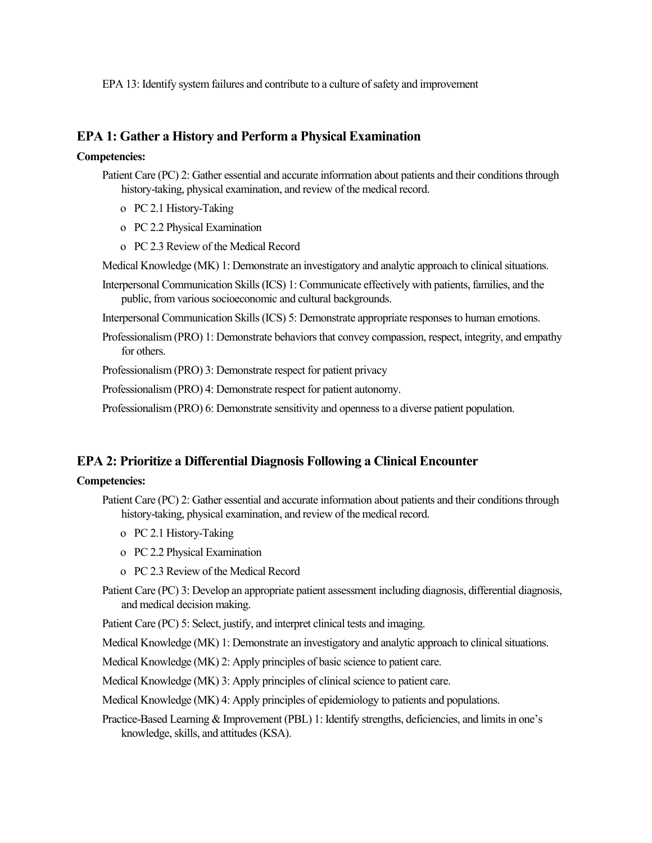EPA 13: Identify system failures and contribute to a culture of safety and improvement

#### **EPA 1: Gather a History and Perform a Physical Examination**

#### **Competencies:**

- Patient Care (PC) 2: Gather essential and accurate information about patients and their conditions through history-taking, physical examination, and review of the medical record.
	- o PC 2.1 History-Taking
	- o PC 2.2 Physical Examination
	- o PC 2.3 Review of the Medical Record

Medical Knowledge (MK) 1: Demonstrate an investigatory and analytic approach to clinical situations.

Interpersonal Communication Skills (ICS) 1: Communicate effectively with patients, families, and the public, from various socioeconomic and cultural backgrounds.

Interpersonal Communication Skills (ICS) 5: Demonstrate appropriate responses to human emotions.

Professionalism (PRO) 1: Demonstrate behaviors that convey compassion, respect, integrity, and empathy for others.

Professionalism (PRO) 3: Demonstrate respect for patient privacy

Professionalism (PRO) 4: Demonstrate respect for patient autonomy.

Professionalism (PRO) 6: Demonstrate sensitivity and openness to a diverse patient population.

### **EPA 2: Prioritize a Differential Diagnosis Following a Clinical Encounter**

#### **Competencies:**

- Patient Care (PC) 2: Gather essential and accurate information about patients and their conditions through history-taking, physical examination, and review of the medical record.
	- o PC 2.1 History-Taking
	- o PC 2.2 Physical Examination
	- o PC 2.3 Review of the Medical Record
- Patient Care (PC) 3: Develop an appropriate patient assessment including diagnosis, differential diagnosis, and medical decision making.

Patient Care (PC) 5: Select, justify, and interpret clinical tests and imaging.

Medical Knowledge (MK) 1: Demonstrate an investigatory and analytic approach to clinical situations.

Medical Knowledge (MK) 2: Apply principles of basic science to patient care.

Medical Knowledge (MK) 3: Apply principles of clinical science to patient care.

Medical Knowledge (MK) 4: Apply principles of epidemiology to patients and populations.

Practice-Based Learning & Improvement (PBL) 1: Identify strengths, deficiencies, and limits in one's knowledge, skills, and attitudes (KSA).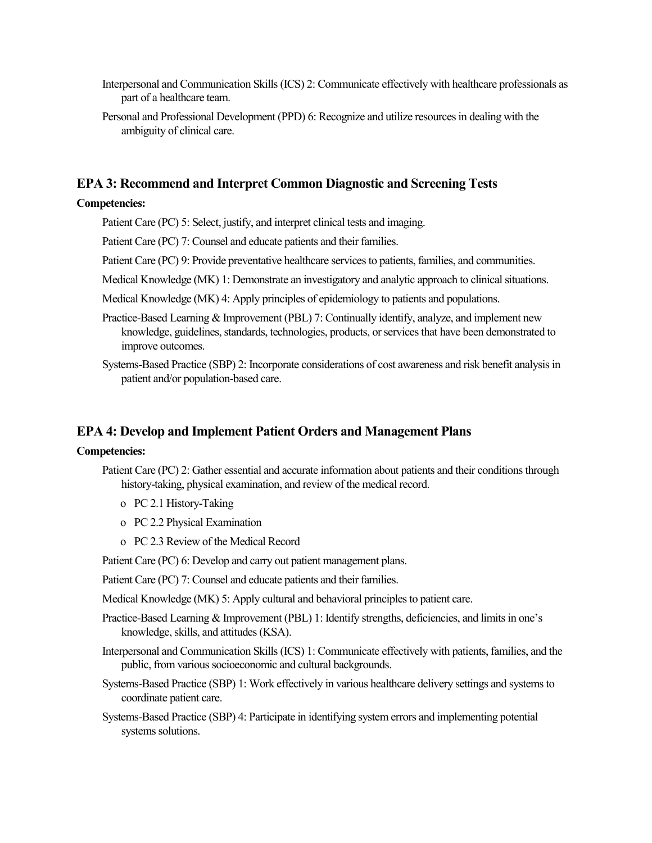- Interpersonal and Communication Skills (ICS) 2: Communicate effectively with healthcare professionals as part of a healthcare team.
- Personal and Professional Development (PPD) 6: Recognize and utilize resources in dealing with the ambiguity of clinical care.

#### **EPA 3: Recommend and Interpret Common Diagnostic and Screening Tests**

#### **Competencies:**

Patient Care (PC) 5: Select, justify, and interpret clinical tests and imaging.

Patient Care (PC) 7: Counsel and educate patients and their families.

Patient Care (PC) 9: Provide preventative healthcare services to patients, families, and communities.

Medical Knowledge (MK) 1: Demonstrate an investigatory and analytic approach to clinical situations.

Medical Knowledge (MK) 4: Apply principles of epidemiology to patients and populations.

- Practice-Based Learning & Improvement (PBL) 7: Continually identify, analyze, and implement new knowledge, guidelines, standards, technologies, products, or services that have been demonstrated to improve outcomes.
- Systems-Based Practice (SBP) 2: Incorporate considerations of cost awareness and risk benefit analysis in patient and/or population-based care.

#### **EPA 4: Develop and Implement Patient Orders and Management Plans**

#### **Competencies:**

- Patient Care (PC) 2: Gather essential and accurate information about patients and their conditions through history-taking, physical examination, and review of the medical record.
	- o PC 2.1 History-Taking
	- o PC 2.2 Physical Examination
	- o PC 2.3 Review of the Medical Record

Patient Care (PC) 6: Develop and carry out patient management plans.

Patient Care (PC) 7: Counsel and educate patients and their families.

Medical Knowledge (MK) 5: Apply cultural and behavioral principles to patient care.

- Practice-Based Learning & Improvement (PBL) 1: Identify strengths, deficiencies, and limits in one's knowledge, skills, and attitudes (KSA).
- Interpersonal and Communication Skills (ICS) 1: Communicate effectively with patients, families, and the public, from various socioeconomic and cultural backgrounds.
- Systems-Based Practice (SBP) 1: Work effectively in various healthcare delivery settings and systems to coordinate patient care.
- Systems-Based Practice (SBP) 4: Participate in identifying system errors and implementing potential systems solutions.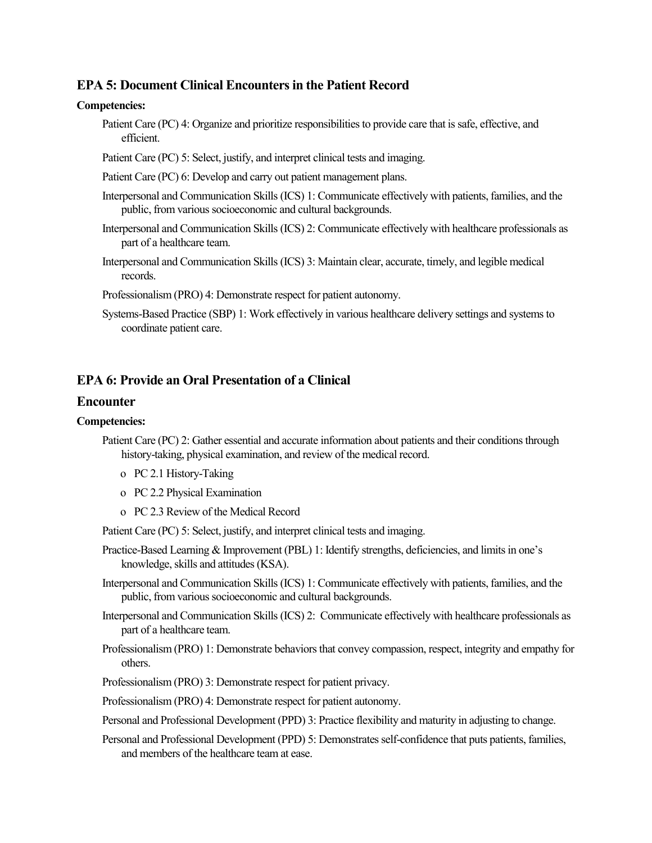#### **EPA 5: Document Clinical Encounters in the Patient Record**

#### **Competencies:**

- Patient Care (PC) 4: Organize and prioritize responsibilities to provide care that is safe, effective, and efficient.
- Patient Care (PC) 5: Select, justify, and interpret clinical tests and imaging.
- Patient Care (PC) 6: Develop and carry out patient management plans.
- Interpersonal and Communication Skills (ICS) 1: Communicate effectively with patients, families, and the public, from various socioeconomic and cultural backgrounds.
- Interpersonal and Communication Skills (ICS) 2: Communicate effectively with healthcare professionals as part of a healthcare team.
- Interpersonal and Communication Skills (ICS) 3: Maintain clear, accurate, timely, and legible medical records.
- Professionalism (PRO) 4: Demonstrate respect for patient autonomy.
- Systems-Based Practice (SBP) 1: Work effectively in various healthcare delivery settings and systems to coordinate patient care.

#### **EPA 6: Provide an Oral Presentation of a Clinical**

#### **Encounter**

#### **Competencies:**

- Patient Care (PC) 2: Gather essential and accurate information about patients and their conditions through history-taking, physical examination, and review of the medical record.
	- o PC 2.1 History-Taking
	- o PC 2.2 Physical Examination
	- o PC 2.3 Review of the Medical Record

Patient Care (PC) 5: Select, justify, and interpret clinical tests and imaging.

- Practice-Based Learning & Improvement (PBL) 1: Identify strengths, deficiencies, and limits in one's knowledge, skills and attitudes (KSA).
- Interpersonal and Communication Skills (ICS) 1: Communicate effectively with patients, families, and the public, from various socioeconomic and cultural backgrounds.
- Interpersonal and Communication Skills (ICS) 2: Communicate effectively with healthcare professionals as part of a healthcare team.
- Professionalism (PRO) 1: Demonstrate behaviors that convey compassion, respect, integrity and empathy for others.
- Professionalism (PRO) 3: Demonstrate respect for patient privacy.
- Professionalism (PRO) 4: Demonstrate respect for patient autonomy.

Personal and Professional Development (PPD) 3: Practice flexibility and maturity in adjusting to change.

Personal and Professional Development (PPD) 5: Demonstrates self-confidence that puts patients, families, and members of the healthcare team at ease.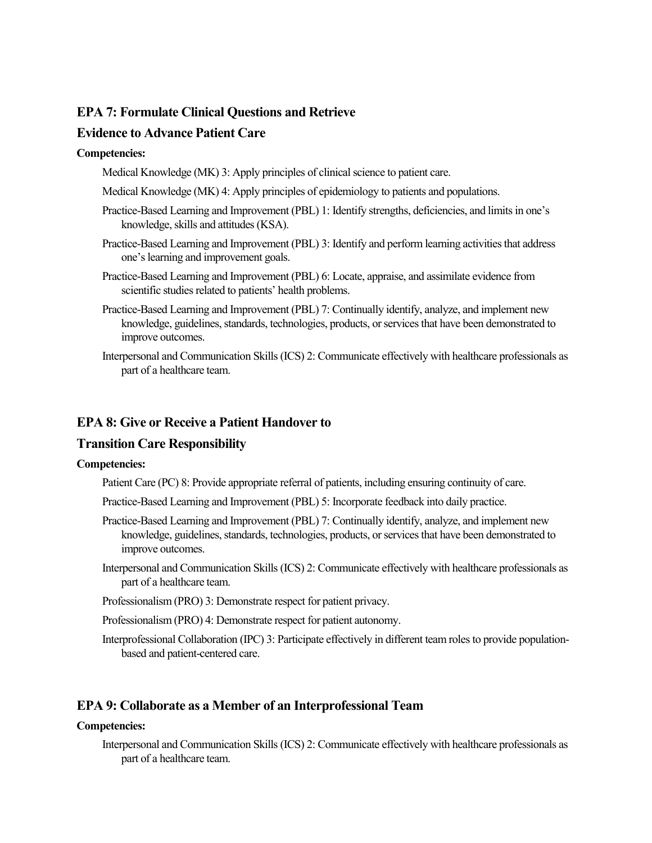#### **EPA 7: Formulate Clinical Questions and Retrieve**

#### **Evidence to Advance Patient Care**

#### **Competencies:**

- Medical Knowledge (MK) 3: Apply principles of clinical science to patient care.
- Medical Knowledge (MK) 4: Apply principles of epidemiology to patients and populations.
- Practice-Based Learning and Improvement (PBL) 1: Identify strengths, deficiencies, and limits in one's knowledge, skills and attitudes (KSA).
- Practice-Based Learning and Improvement (PBL) 3: Identify and perform learning activities that address one's learning and improvement goals.
- Practice-Based Learning and Improvement (PBL) 6: Locate, appraise, and assimilate evidence from scientific studies related to patients' health problems.
- Practice-Based Learning and Improvement (PBL) 7: Continually identify, analyze, and implement new knowledge, guidelines, standards, technologies, products, or services that have been demonstrated to improve outcomes.
- Interpersonal and Communication Skills (ICS) 2: Communicate effectively with healthcare professionals as part of a healthcare team.

#### **EPA 8: Give or Receive a Patient Handover to**

#### **Transition Care Responsibility**

#### **Competencies:**

- Patient Care (PC) 8: Provide appropriate referral of patients, including ensuring continuity of care.
- Practice-Based Learning and Improvement (PBL) 5: Incorporate feedback into daily practice.
- Practice-Based Learning and Improvement (PBL) 7: Continually identify, analyze, and implement new knowledge, guidelines, standards, technologies, products, or services that have been demonstrated to improve outcomes.
- Interpersonal and Communication Skills (ICS) 2: Communicate effectively with healthcare professionals as part of a healthcare team.
- Professionalism (PRO) 3: Demonstrate respect for patient privacy.
- Professionalism (PRO) 4: Demonstrate respect for patient autonomy.
- Interprofessional Collaboration (IPC) 3: Participate effectively in different team roles to provide populationbased and patient-centered care.

### **EPA 9: Collaborate as a Member of an Interprofessional Team**

#### **Competencies:**

Interpersonal and Communication Skills (ICS) 2: Communicate effectively with healthcare professionals as part of a healthcare team.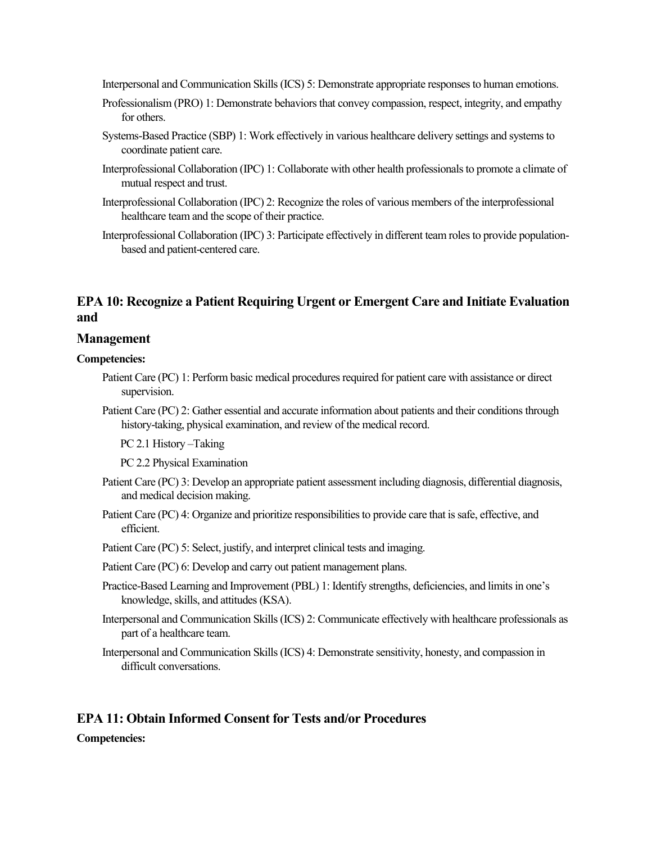Interpersonal and Communication Skills (ICS) 5: Demonstrate appropriate responses to human emotions.

- Professionalism (PRO) 1: Demonstrate behaviors that convey compassion, respect, integrity, and empathy for others.
- Systems-Based Practice (SBP) 1: Work effectively in various healthcare delivery settings and systems to coordinate patient care.
- Interprofessional Collaboration (IPC) 1: Collaborate with other health professionals to promote a climate of mutual respect and trust.
- Interprofessional Collaboration (IPC) 2: Recognize the roles of various members of the interprofessional healthcare team and the scope of their practice.
- Interprofessional Collaboration (IPC) 3: Participate effectively in different team roles to provide populationbased and patient-centered care.

### **EPA 10: Recognize a Patient Requiring Urgent or Emergent Care and Initiate Evaluation and**

#### **Management**

#### **Competencies:**

- Patient Care (PC) 1: Perform basic medical procedures required for patient care with assistance or direct supervision.
- Patient Care (PC) 2: Gather essential and accurate information about patients and their conditions through history-taking, physical examination, and review of the medical record.

PC 2.1 History –Taking

PC 2.2 Physical Examination

- Patient Care (PC) 3: Develop an appropriate patient assessment including diagnosis, differential diagnosis, and medical decision making.
- Patient Care (PC) 4: Organize and prioritize responsibilities to provide care that is safe, effective, and efficient.

Patient Care (PC) 5: Select, justify, and interpret clinical tests and imaging.

Patient Care (PC) 6: Develop and carry out patient management plans.

- Practice-Based Learning and Improvement (PBL) 1: Identify strengths, deficiencies, and limits in one's knowledge, skills, and attitudes (KSA).
- Interpersonal and Communication Skills (ICS) 2: Communicate effectively with healthcare professionals as part of a healthcare team.
- Interpersonal and Communication Skills (ICS) 4: Demonstrate sensitivity, honesty, and compassion in difficult conversations.

#### **EPA 11: Obtain Informed Consent for Tests and/or Procedures**

**Competencies:**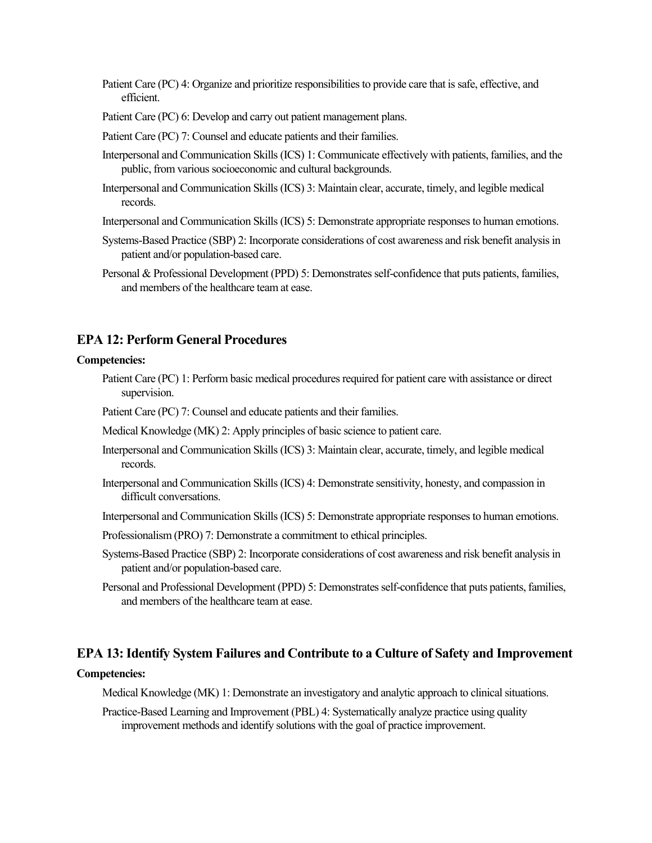- Patient Care (PC) 4: Organize and prioritize responsibilities to provide care that is safe, effective, and efficient.
- Patient Care (PC) 6: Develop and carry out patient management plans.
- Patient Care (PC) 7: Counsel and educate patients and their families.
- Interpersonal and Communication Skills (ICS) 1: Communicate effectively with patients, families, and the public, from various socioeconomic and cultural backgrounds.
- Interpersonal and Communication Skills (ICS) 3: Maintain clear, accurate, timely, and legible medical records.
- Interpersonal and Communication Skills (ICS) 5: Demonstrate appropriate responses to human emotions.
- Systems-Based Practice (SBP) 2: Incorporate considerations of cost awareness and risk benefit analysis in patient and/or population-based care.
- Personal & Professional Development (PPD) 5: Demonstrates self-confidence that puts patients, families, and members of the healthcare team at ease.

#### **EPA 12: Perform General Procedures**

#### **Competencies:**

- Patient Care (PC) 1: Perform basic medical procedures required for patient care with assistance or direct supervision.
- Patient Care (PC) 7: Counsel and educate patients and their families.
- Medical Knowledge (MK) 2: Apply principles of basic science to patient care.
- Interpersonal and Communication Skills (ICS) 3: Maintain clear, accurate, timely, and legible medical records.
- Interpersonal and Communication Skills (ICS) 4: Demonstrate sensitivity, honesty, and compassion in difficult conversations.
- Interpersonal and Communication Skills (ICS) 5: Demonstrate appropriate responses to human emotions.
- Professionalism (PRO) 7: Demonstrate a commitment to ethical principles.
- Systems-Based Practice (SBP) 2: Incorporate considerations of cost awareness and risk benefit analysis in patient and/or population-based care.
- Personal and Professional Development (PPD) 5: Demonstrates self-confidence that puts patients, families, and members of the healthcare team at ease.

#### **EPA 13: Identify System Failures and Contribute to a Culture of Safety and Improvement**

#### **Competencies:**

Medical Knowledge (MK) 1: Demonstrate an investigatory and analytic approach to clinical situations.

Practice-Based Learning and Improvement (PBL) 4: Systematically analyze practice using quality improvement methods and identify solutions with the goal of practice improvement.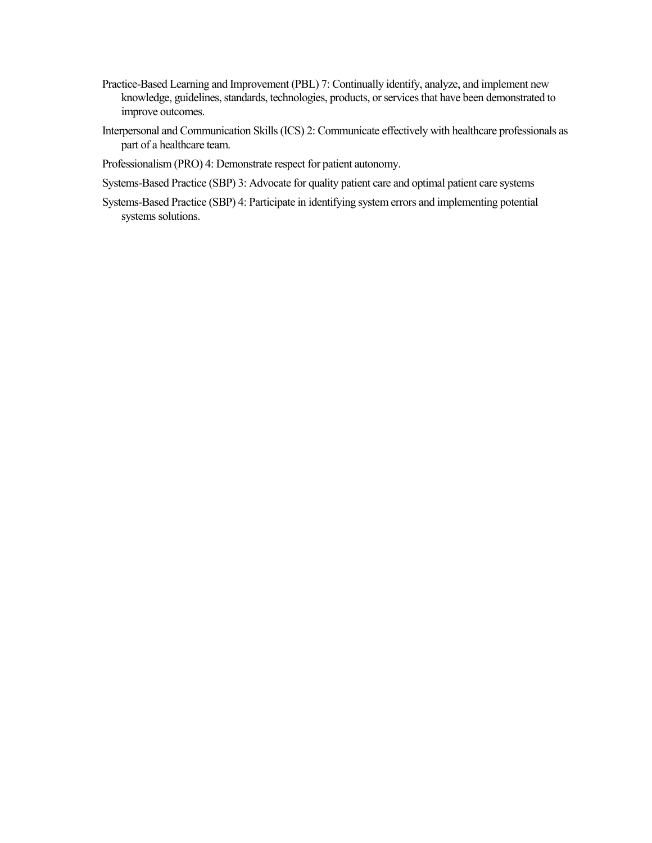- Practice-Based Learning and Improvement (PBL) 7: Continually identify, analyze, and implement new knowledge, guidelines, standards, technologies, products, or services that have been demonstrated to improve outcomes.
- Interpersonal and Communication Skills (ICS) 2: Communicate effectively with healthcare professionals as part of a healthcare team.
- Professionalism (PRO) 4: Demonstrate respect for patient autonomy.
- Systems-Based Practice (SBP) 3: Advocate for quality patient care and optimal patient care systems
- Systems-Based Practice (SBP) 4: Participate in identifying system errors and implementing potential systems solutions.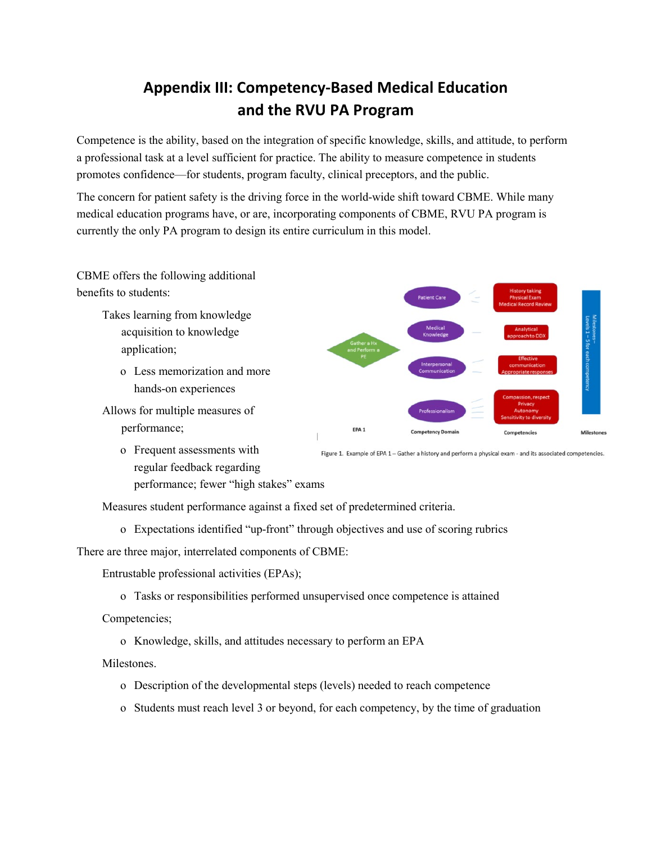# **Appendix III: Competency-Based Medical Education and the RVU PA Program**

Competence is the ability, based on the integration of specific knowledge, skills, and attitude, to perform a professional task at a level sufficient for practice. The ability to measure competence in students promotes confidence—for students, program faculty, clinical preceptors, and the public.

The concern for patient safety is the driving force in the world-wide shift toward CBME. While many medical education programs have, or are, incorporating components of CBME, RVU PA program is currently the only PA program to design its entire curriculum in this model.

CBME offers the following additional benefits to students:

- Takes learning from knowledge acquisition to knowledge application;
	- o Less memorization and more hands-on experiences
- Allows for multiple measures of performance;
	- o Frequent assessments with regular feedback regarding

performance; fewer "high stakes" exams

Figure 1. Example of EPA 1 - Gather a history and perform a physical exam - and its associated competencies.

Measures student performance against a fixed set of predetermined criteria.

o Expectations identified "up-front" through objectives and use of scoring rubrics

There are three major, interrelated components of CBME:

Entrustable professional activities (EPAs);

o Tasks or responsibilities performed unsupervised once competence is attained

Competencies;

o Knowledge, skills, and attitudes necessary to perform an EPA

Milestones.

- o Description of the developmental steps (levels) needed to reach competence
- o Students must reach level 3 or beyond, for each competency, by the time of graduation

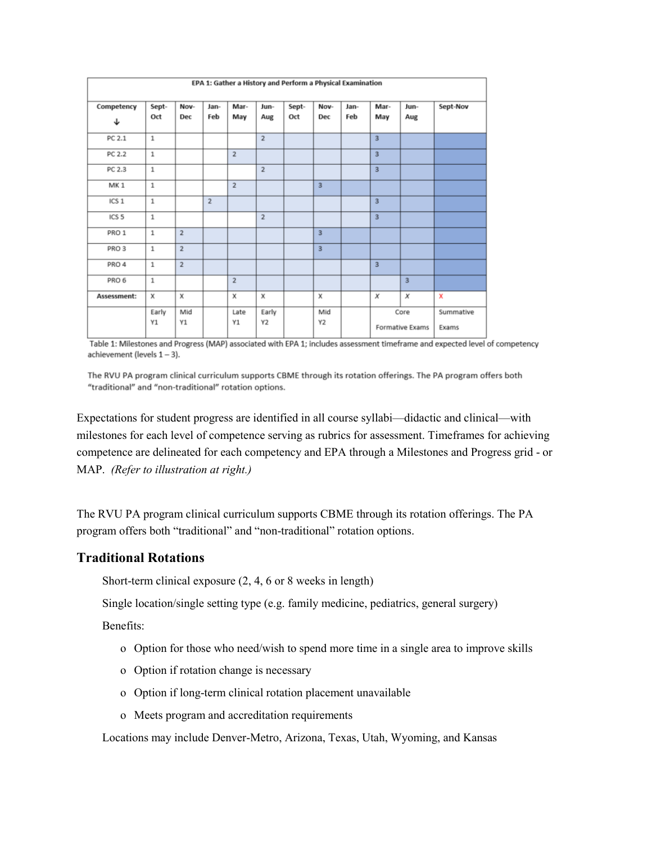| EPA 1: Gather a History and Perform a Physical Examination |              |                    |                |                |                |              |                         |             |                         |                         |                    |
|------------------------------------------------------------|--------------|--------------------|----------------|----------------|----------------|--------------|-------------------------|-------------|-------------------------|-------------------------|--------------------|
| Competency<br>↓                                            | Sept-<br>Oct | Nov-<br><b>Dec</b> | Jan-<br>Feb    | Mar-<br>May    | Jun-<br>Aug    | Sept-<br>Oct | Nov-<br>Dec             | Jan-<br>Feb | Mar-<br>May             | Jun-<br>Aug             | Sept-Nov           |
| PC 2.1                                                     | $\mathbf 1$  |                    |                |                | $\overline{2}$ |              |                         |             | $\overline{3}$          |                         |                    |
| PC 2.2                                                     | $\,1$        |                    |                | $\overline{2}$ |                |              |                         |             | 3                       |                         |                    |
| PC 2.3                                                     | $\mathbf{1}$ |                    |                |                | $\overline{2}$ |              |                         |             | $\overline{\mathbf{3}}$ |                         |                    |
| MK <sub>1</sub>                                            | $\mathbf 1$  |                    |                | $\overline{2}$ |                |              | $\overline{\mathbf{3}}$ |             |                         |                         |                    |
| ICS <sub>1</sub>                                           | $\mathbf{1}$ |                    | $\overline{2}$ |                |                |              |                         |             | $\overline{3}$          |                         |                    |
| ICS <sub>5</sub>                                           | $\mathbf{1}$ |                    |                |                | $\overline{2}$ |              |                         |             | $\overline{\mathbf{3}}$ |                         |                    |
| PRO 1                                                      | $\,1$        | $\overline{2}$     |                |                |                |              | $\overline{3}$          |             |                         |                         |                    |
| PRO <sub>3</sub>                                           | $\,1$        | $\overline{2}$     |                |                |                |              | $\overline{3}$          |             |                         |                         |                    |
| PRO 4                                                      | $1\,$        | $\overline{2}$     |                |                |                |              |                         |             | $\overline{\mathbf{3}}$ |                         |                    |
| PRO 6                                                      | $\mathbf{1}$ |                    |                | $\overline{2}$ |                |              |                         |             |                         | $\overline{3}$          |                    |
| Assessment:                                                | X            | X                  |                | X              | x              |              | X                       |             | Х                       | Х                       | x                  |
|                                                            | Early<br>Y1  | Mid<br>Y1          |                | Late<br>Y1     | Early<br>Υ2    |              | Mid<br>Y2               |             |                         | Core<br>Formative Exams | Summative<br>Exams |

Table 1: Milestones and Progress (MAP) associated with EPA 1; includes assessment timeframe and expected level of competency achievement (levels  $1 - 3$ ).

The RVU PA program clinical curriculum supports CBME through its rotation offerings. The PA program offers both "traditional" and "non-traditional" rotation options.

Expectations for student progress are identified in all course syllabi—didactic and clinical—with milestones for each level of competence serving as rubrics for assessment. Timeframes for achieving competence are delineated for each competency and EPA through a Milestones and Progress grid - or MAP. *(Refer to illustration at right.)*

The RVU PA program clinical curriculum supports CBME through its rotation offerings. The PA program offers both "traditional" and "non-traditional" rotation options.

#### **Traditional Rotations**

Short-term clinical exposure (2, 4, 6 or 8 weeks in length)

Single location/single setting type (e.g. family medicine, pediatrics, general surgery)

Benefits:

- o Option for those who need/wish to spend more time in a single area to improve skills
- o Option if rotation change is necessary
- o Option if long-term clinical rotation placement unavailable
- o Meets program and accreditation requirements

Locations may include Denver-Metro, Arizona, Texas, Utah, Wyoming, and Kansas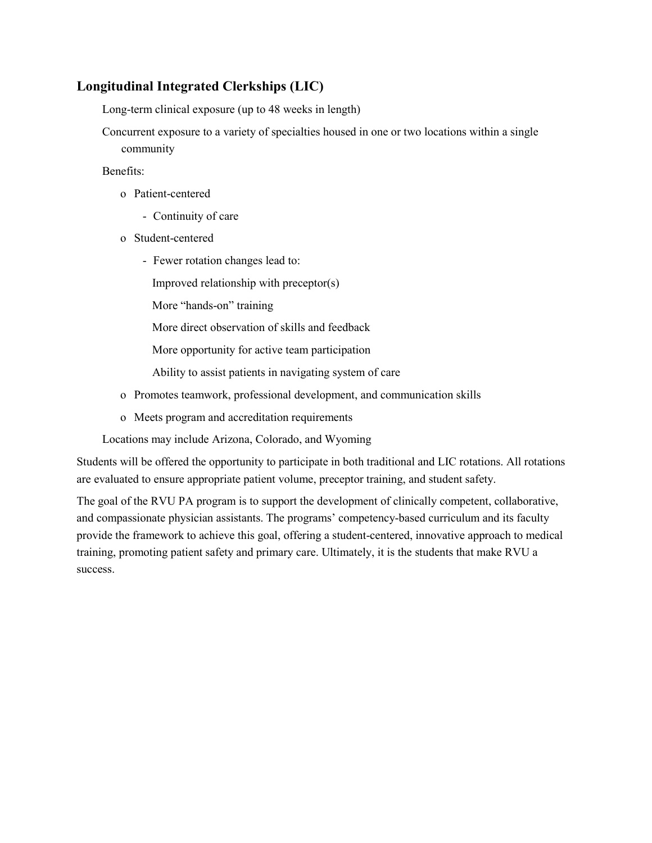### **Longitudinal Integrated Clerkships (LIC)**

Long-term clinical exposure (up to 48 weeks in length)

Concurrent exposure to a variety of specialties housed in one or two locations within a single community

Benefits:

- o Patient-centered
	- Continuity of care
- o Student-centered
	- Fewer rotation changes lead to:

Improved relationship with preceptor(s)

More "hands-on" training

More direct observation of skills and feedback

More opportunity for active team participation

Ability to assist patients in navigating system of care

- o Promotes teamwork, professional development, and communication skills
- o Meets program and accreditation requirements

Locations may include Arizona, Colorado, and Wyoming

Students will be offered the opportunity to participate in both traditional and LIC rotations. All rotations are evaluated to ensure appropriate patient volume, preceptor training, and student safety.

The goal of the RVU PA program is to support the development of clinically competent, collaborative, and compassionate physician assistants. The programs' competency-based curriculum and its faculty provide the framework to achieve this goal, offering a student-centered, innovative approach to medical training, promoting patient safety and primary care. Ultimately, it is the students that make RVU a success.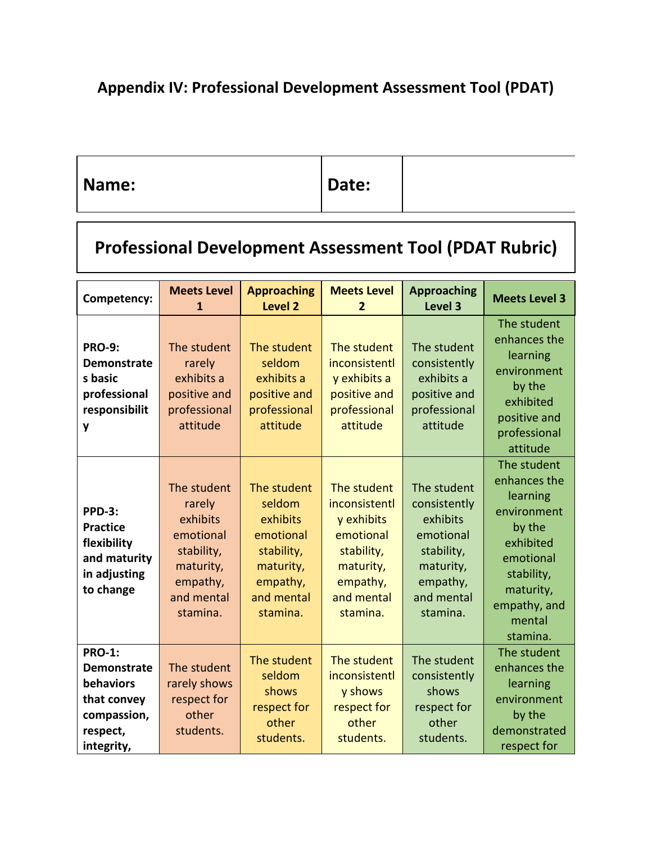# **Appendix IV: Professional Development Assessment Tool (PDAT)**

| Name: |  |
|-------|--|
|-------|--|

Date:

# **Professional Development Assessment Tool (PDAT Rubric)**

| Competency:                                                                                              | <b>Meets Level</b><br>1                                                                                         | <b>Approaching</b><br><b>Level 2</b>                                                                            | <b>Meets Level</b><br>$\overline{2}$                                                                                     | <b>Approaching</b><br>Level 3                                                                                         | <b>Meets Level 3</b>                                                                                                                                        |
|----------------------------------------------------------------------------------------------------------|-----------------------------------------------------------------------------------------------------------------|-----------------------------------------------------------------------------------------------------------------|--------------------------------------------------------------------------------------------------------------------------|-----------------------------------------------------------------------------------------------------------------------|-------------------------------------------------------------------------------------------------------------------------------------------------------------|
| <b>PRO-9:</b><br><b>Demonstrate</b><br>s basic<br>professional<br>responsibilit<br>y                     | The student<br>rarely<br>exhibits a<br>positive and<br>professional<br>attitude                                 | The student<br>seldom<br>exhibits a<br>positive and<br>professional<br>attitude                                 | The student<br>inconsistentl<br>y exhibits a<br>positive and<br>professional<br>attitude                                 | The student<br>consistently<br>exhibits a<br>positive and<br>professional<br>attitude                                 | The student<br>enhances the<br>learning<br>environment<br>by the<br>exhibited<br>positive and<br>professional<br>attitude                                   |
| <b>PPD-3:</b><br><b>Practice</b><br>flexibility<br>and maturity<br>in adjusting<br>to change             | The student<br>rarely<br>exhibits<br>emotional<br>stability,<br>maturity,<br>empathy,<br>and mental<br>stamina. | The student<br>seldom<br>exhibits<br>emotional<br>stability,<br>maturity,<br>empathy,<br>and mental<br>stamina. | The student<br>inconsistentl<br>y exhibits<br>emotional<br>stability,<br>maturity,<br>empathy,<br>and mental<br>stamina. | The student<br>consistently<br>exhibits<br>emotional<br>stability,<br>maturity,<br>empathy,<br>and mental<br>stamina. | The student<br>enhances the<br>learning<br>environment<br>by the<br>exhibited<br>emotional<br>stability,<br>maturity,<br>empathy, and<br>mental<br>stamina. |
| <b>PRO-1:</b><br><b>Demonstrate</b><br>behaviors<br>that convey<br>compassion,<br>respect,<br>integrity, | The student<br>rarely shows<br>respect for<br>other<br>students.                                                | The student<br>seldom<br>shows<br>respect for<br>other<br>students.                                             | The student<br>inconsistentl<br>y shows<br>respect for<br>other<br>students.                                             | The student<br>consistently<br>shows<br>respect for<br>other<br>students.                                             | The student<br>enhances the<br>learning<br>environment<br>by the<br>demonstrated<br>respect for                                                             |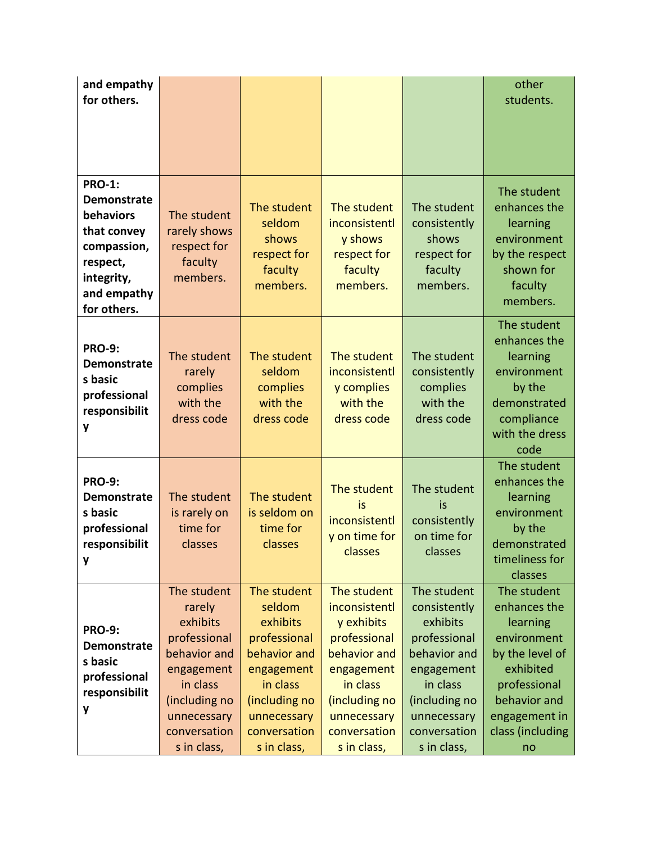| and empathy<br>for others.                                                                                                             |                                                                                                                                                            |                                                                                                                                                            |                                                                                                                                                                     |                                                                                                                                                                  | other<br>students.                                                                                                                                                |
|----------------------------------------------------------------------------------------------------------------------------------------|------------------------------------------------------------------------------------------------------------------------------------------------------------|------------------------------------------------------------------------------------------------------------------------------------------------------------|---------------------------------------------------------------------------------------------------------------------------------------------------------------------|------------------------------------------------------------------------------------------------------------------------------------------------------------------|-------------------------------------------------------------------------------------------------------------------------------------------------------------------|
| <b>PRO-1:</b><br><b>Demonstrate</b><br>behaviors<br>that convey<br>compassion,<br>respect,<br>integrity,<br>and empathy<br>for others. | The student<br>rarely shows<br>respect for<br>faculty<br>members.                                                                                          | The student<br>seldom<br>shows<br>respect for<br>faculty<br>members.                                                                                       | The student<br>inconsistentl<br>y shows<br>respect for<br>faculty<br>members.                                                                                       | The student<br>consistently<br>shows<br>respect for<br>faculty<br>members.                                                                                       | The student<br>enhances the<br>learning<br>environment<br>by the respect<br>shown for<br>faculty<br>members.                                                      |
| <b>PRO-9:</b><br><b>Demonstrate</b><br>s basic<br>professional<br>responsibilit<br>y                                                   | The student<br>rarely<br>complies<br>with the<br>dress code                                                                                                | The student<br>seldom<br>complies<br>with the<br>dress code                                                                                                | The student<br>inconsistentl<br>y complies<br>with the<br>dress code                                                                                                | The student<br>consistently<br>complies<br>with the<br>dress code                                                                                                | The student<br>enhances the<br>learning<br>environment<br>by the<br>demonstrated<br>compliance<br>with the dress<br>code                                          |
| <b>PRO-9:</b><br><b>Demonstrate</b><br>s basic<br>professional<br>responsibilit<br>y                                                   | The student<br>is rarely on<br>time for<br>classes                                                                                                         | The student<br>is seldom on<br>time for<br>classes                                                                                                         | The student<br>is<br>inconsistentl<br>y on time for<br>classes                                                                                                      | The student<br>is<br>consistently<br>on time for<br>classes                                                                                                      | The student<br>enhances the<br>learning<br>environment<br>by the<br>demonstrated<br>timeliness for<br>classes                                                     |
| <b>PRO-9:</b><br><b>Demonstrate</b><br>s basic<br>professional<br>responsibilit<br>y                                                   | The student<br>rarely<br>exhibits<br>professional<br>behavior and<br>engagement<br>in class<br>(including no<br>unnecessary<br>conversation<br>s in class, | The student<br>seldom<br>exhibits<br>professional<br>behavior and<br>engagement<br>in class<br>(including no<br>unnecessary<br>conversation<br>s in class, | The student<br>inconsistentl<br>y exhibits<br>professional<br>behavior and<br>engagement<br>in class<br>(including no<br>unnecessary<br>conversation<br>s in class, | The student<br>consistently<br>exhibits<br>professional<br>behavior and<br>engagement<br>in class<br>(including no<br>unnecessary<br>conversation<br>s in class, | The student<br>enhances the<br>learning<br>environment<br>by the level of<br>exhibited<br>professional<br>behavior and<br>engagement in<br>class (including<br>no |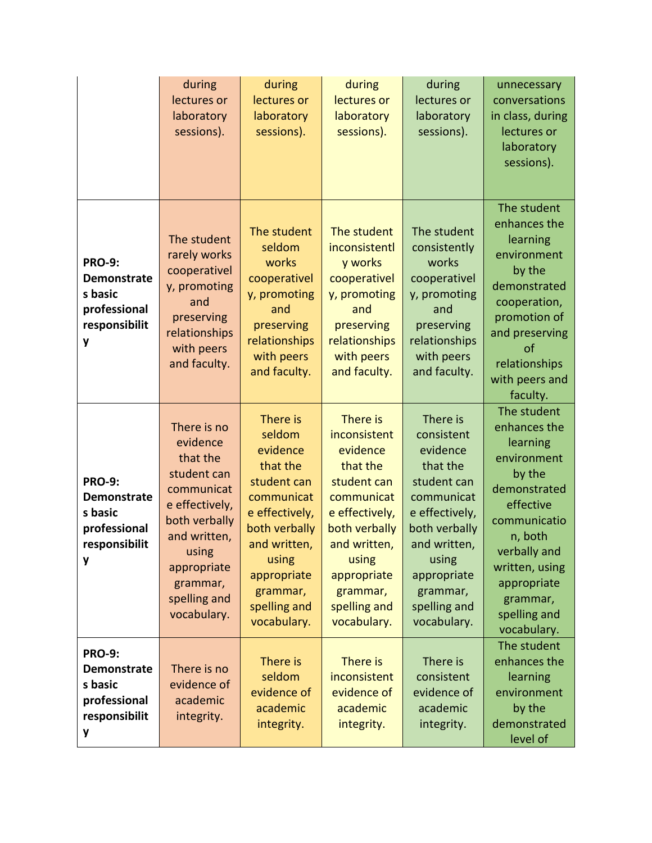|                                                                                      | during<br>lectures or<br>laboratory<br>sessions).                                                                                                                                      | during<br>lectures or<br>laboratory<br>sessions).                                                                                                                                             | during<br>lectures or<br>laboratory<br>sessions).                                                                                                                                                   | during<br>lectures or<br>laboratory<br>sessions).                                                                                                                                                 | unnecessary<br>conversations<br>in class, during<br>lectures or<br>laboratory<br>sessions).                                                                                                                          |
|--------------------------------------------------------------------------------------|----------------------------------------------------------------------------------------------------------------------------------------------------------------------------------------|-----------------------------------------------------------------------------------------------------------------------------------------------------------------------------------------------|-----------------------------------------------------------------------------------------------------------------------------------------------------------------------------------------------------|---------------------------------------------------------------------------------------------------------------------------------------------------------------------------------------------------|----------------------------------------------------------------------------------------------------------------------------------------------------------------------------------------------------------------------|
| <b>PRO-9:</b><br><b>Demonstrate</b><br>s basic<br>professional<br>responsibilit<br>y | The student<br>rarely works<br>cooperativel<br>y, promoting<br>and<br>preserving<br>relationships<br>with peers<br>and faculty.                                                        | The student<br>seldom<br>works<br>cooperativel<br>y, promoting<br>and<br>preserving<br>relationships<br>with peers<br>and faculty.                                                            | The student<br>inconsistentl<br>y works<br>cooperativel<br>y, promoting<br>and<br>preserving<br>relationships<br>with peers<br>and faculty.                                                         | The student<br>consistently<br>works<br>cooperativel<br>y, promoting<br>and<br>preserving<br>relationships<br>with peers<br>and faculty.                                                          | The student<br>enhances the<br>learning<br>environment<br>by the<br>demonstrated<br>cooperation,<br>promotion of<br>and preserving<br>of<br>relationships<br>with peers and<br>faculty.                              |
| <b>PRO-9:</b><br><b>Demonstrate</b><br>s basic<br>professional<br>responsibilit<br>y | There is no<br>evidence<br>that the<br>student can<br>communicat<br>e effectively,<br>both verbally<br>and written,<br>using<br>appropriate<br>grammar,<br>spelling and<br>vocabulary. | There is<br>seldom<br>evidence<br>that the<br>student can<br>communicat<br>e effectively,<br>both verbally<br>and written,<br>using<br>appropriate<br>grammar,<br>spelling and<br>vocabulary. | There is<br>inconsistent<br>evidence<br>that the<br>student can<br>communicat<br>e effectively,<br>both verbally<br>and written,<br>using<br>appropriate<br>grammar,<br>spelling and<br>vocabulary. | There is<br>consistent<br>evidence<br>that the<br>student can<br>communicat<br>e effectively,<br>both verbally<br>and written,<br>using<br>appropriate<br>grammar,<br>spelling and<br>vocabulary. | The student<br>enhances the<br>learning<br>environment<br>by the<br>demonstrated<br>effective<br>communicatio<br>n, both<br>verbally and<br>written, using<br>appropriate<br>grammar,<br>spelling and<br>vocabulary. |
| <b>PRO-9:</b><br>Demonstrate<br>s basic<br>professional<br>responsibilit<br>y        | There is no<br>evidence of<br>academic<br>integrity.                                                                                                                                   | There is<br>seldom<br>evidence of<br>academic<br>integrity.                                                                                                                                   | There is<br>inconsistent<br>evidence of<br>academic<br>integrity.                                                                                                                                   | There is<br>consistent<br>evidence of<br>academic<br>integrity.                                                                                                                                   | The student<br>enhances the<br>learning<br>environment<br>by the<br>demonstrated<br>level of                                                                                                                         |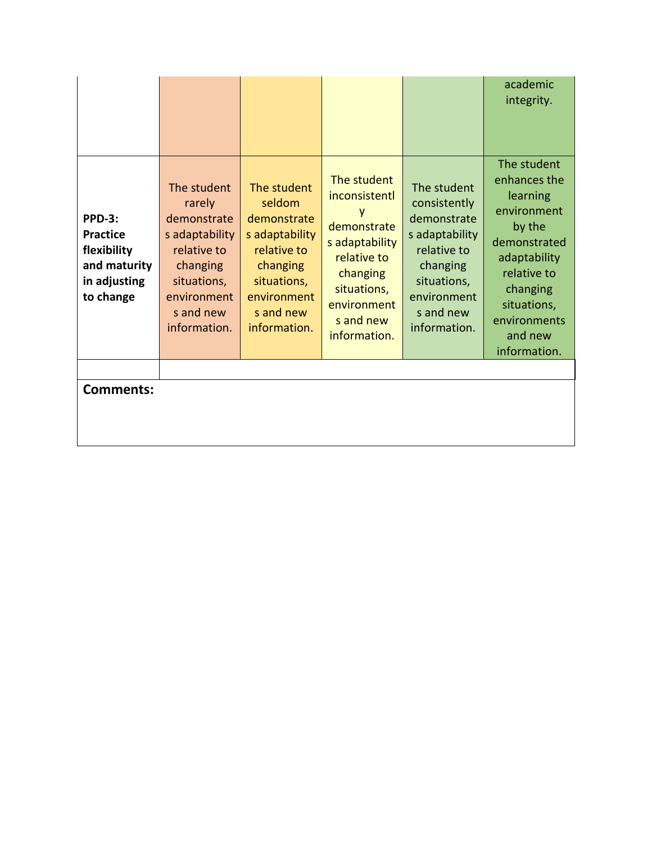|                                                                                       |                                                                                                                                              |                                                                                                                                              |                                                                                                                                                          |                                                                                                                                                    | academic<br>integrity.                                                                                                                                                                |
|---------------------------------------------------------------------------------------|----------------------------------------------------------------------------------------------------------------------------------------------|----------------------------------------------------------------------------------------------------------------------------------------------|----------------------------------------------------------------------------------------------------------------------------------------------------------|----------------------------------------------------------------------------------------------------------------------------------------------------|---------------------------------------------------------------------------------------------------------------------------------------------------------------------------------------|
| PPD-3:<br><b>Practice</b><br>flexibility<br>and maturity<br>in adjusting<br>to change | The student<br>rarely<br>demonstrate<br>s adaptability<br>relative to<br>changing<br>situations,<br>environment<br>s and new<br>information. | The student<br>seldom<br>demonstrate<br>s adaptability<br>relative to<br>changing<br>situations,<br>environment<br>s and new<br>information. | The student<br>inconsistentl<br>v<br>demonstrate<br>s adaptability<br>relative to<br>changing<br>situations,<br>environment<br>s and new<br>information. | The student<br>consistently<br>demonstrate<br>s adaptability<br>relative to<br>changing<br>situations,<br>environment<br>s and new<br>information. | The student<br>enhances the<br>learning<br>environment<br>by the<br>demonstrated<br>adaptability<br>relative to<br>changing<br>situations,<br>environments<br>and new<br>information. |
| <b>Comments:</b>                                                                      |                                                                                                                                              |                                                                                                                                              |                                                                                                                                                          |                                                                                                                                                    |                                                                                                                                                                                       |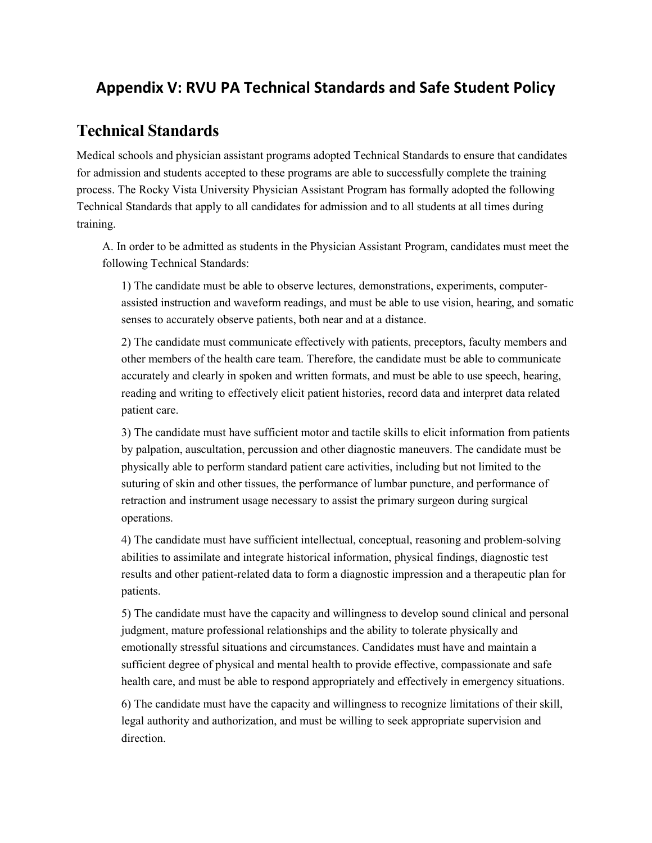# **Appendix V: RVU PA Technical Standards and Safe Student Policy**

## **Technical Standards**

Medical schools and physician assistant programs adopted Technical Standards to ensure that candidates for admission and students accepted to these programs are able to successfully complete the training process. The Rocky Vista University Physician Assistant Program has formally adopted the following Technical Standards that apply to all candidates for admission and to all students at all times during training.

A. In order to be admitted as students in the Physician Assistant Program, candidates must meet the following Technical Standards:

1) The candidate must be able to observe lectures, demonstrations, experiments, computerassisted instruction and waveform readings, and must be able to use vision, hearing, and somatic senses to accurately observe patients, both near and at a distance.

2) The candidate must communicate effectively with patients, preceptors, faculty members and other members of the health care team. Therefore, the candidate must be able to communicate accurately and clearly in spoken and written formats, and must be able to use speech, hearing, reading and writing to effectively elicit patient histories, record data and interpret data related patient care.

3) The candidate must have sufficient motor and tactile skills to elicit information from patients by palpation, auscultation, percussion and other diagnostic maneuvers. The candidate must be physically able to perform standard patient care activities, including but not limited to the suturing of skin and other tissues, the performance of lumbar puncture, and performance of retraction and instrument usage necessary to assist the primary surgeon during surgical operations.

4) The candidate must have sufficient intellectual, conceptual, reasoning and problem-solving abilities to assimilate and integrate historical information, physical findings, diagnostic test results and other patient-related data to form a diagnostic impression and a therapeutic plan for patients.

5) The candidate must have the capacity and willingness to develop sound clinical and personal judgment, mature professional relationships and the ability to tolerate physically and emotionally stressful situations and circumstances. Candidates must have and maintain a sufficient degree of physical and mental health to provide effective, compassionate and safe health care, and must be able to respond appropriately and effectively in emergency situations.

6) The candidate must have the capacity and willingness to recognize limitations of their skill, legal authority and authorization, and must be willing to seek appropriate supervision and direction.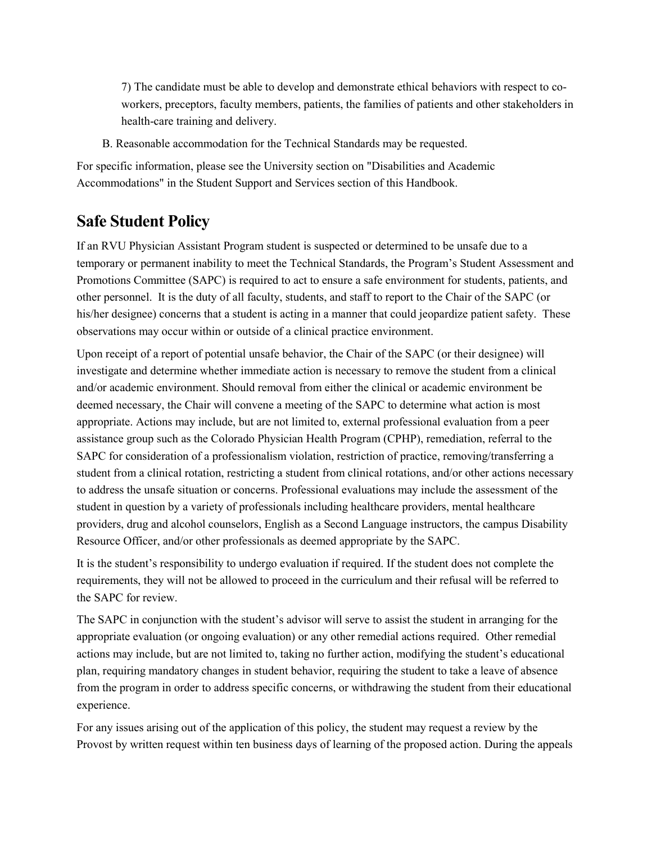7) The candidate must be able to develop and demonstrate ethical behaviors with respect to coworkers, preceptors, faculty members, patients, the families of patients and other stakeholders in health-care training and delivery.

B. Reasonable accommodation for the Technical Standards may be requested.

For specific information, please see the University section on "Disabilities and Academic Accommodations" in the Student Support and Services section of this Handbook.

## **Safe Student Policy**

If an RVU Physician Assistant Program student is suspected or determined to be unsafe due to a temporary or permanent inability to meet the Technical Standards, the Program's Student Assessment and Promotions Committee (SAPC) is required to act to ensure a safe environment for students, patients, and other personnel. It is the duty of all faculty, students, and staff to report to the Chair of the SAPC (or his/her designee) concerns that a student is acting in a manner that could jeopardize patient safety. These observations may occur within or outside of a clinical practice environment.

Upon receipt of a report of potential unsafe behavior, the Chair of the SAPC (or their designee) will investigate and determine whether immediate action is necessary to remove the student from a clinical and/or academic environment. Should removal from either the clinical or academic environment be deemed necessary, the Chair will convene a meeting of the SAPC to determine what action is most appropriate. Actions may include, but are not limited to, external professional evaluation from a peer assistance group such as the Colorado Physician Health Program (CPHP), remediation, referral to the SAPC for consideration of a professionalism violation, restriction of practice, removing/transferring a student from a clinical rotation, restricting a student from clinical rotations, and/or other actions necessary to address the unsafe situation or concerns. Professional evaluations may include the assessment of the student in question by a variety of professionals including healthcare providers, mental healthcare providers, drug and alcohol counselors, English as a Second Language instructors, the campus Disability Resource Officer, and/or other professionals as deemed appropriate by the SAPC.

It is the student's responsibility to undergo evaluation if required. If the student does not complete the requirements, they will not be allowed to proceed in the curriculum and their refusal will be referred to the SAPC for review.

The SAPC in conjunction with the student's advisor will serve to assist the student in arranging for the appropriate evaluation (or ongoing evaluation) or any other remedial actions required. Other remedial actions may include, but are not limited to, taking no further action, modifying the student's educational plan, requiring mandatory changes in student behavior, requiring the student to take a leave of absence from the program in order to address specific concerns, or withdrawing the student from their educational experience.

For any issues arising out of the application of this policy, the student may request a review by the Provost by written request within ten business days of learning of the proposed action. During the appeals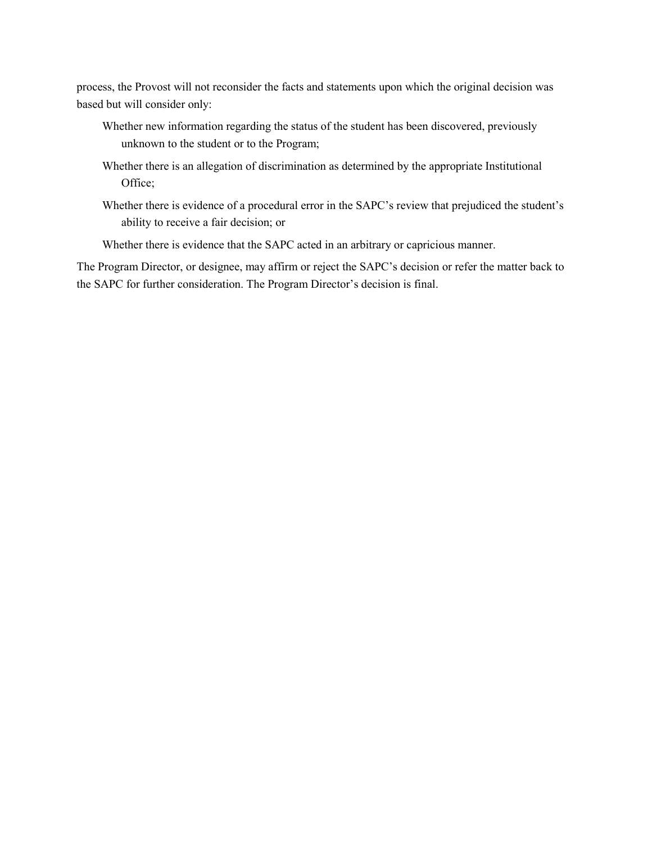process, the Provost will not reconsider the facts and statements upon which the original decision was based but will consider only:

- Whether new information regarding the status of the student has been discovered, previously unknown to the student or to the Program;
- Whether there is an allegation of discrimination as determined by the appropriate Institutional Office;
- Whether there is evidence of a procedural error in the SAPC's review that prejudiced the student's ability to receive a fair decision; or

Whether there is evidence that the SAPC acted in an arbitrary or capricious manner.

The Program Director, or designee, may affirm or reject the SAPC's decision or refer the matter back to the SAPC for further consideration. The Program Director's decision is final.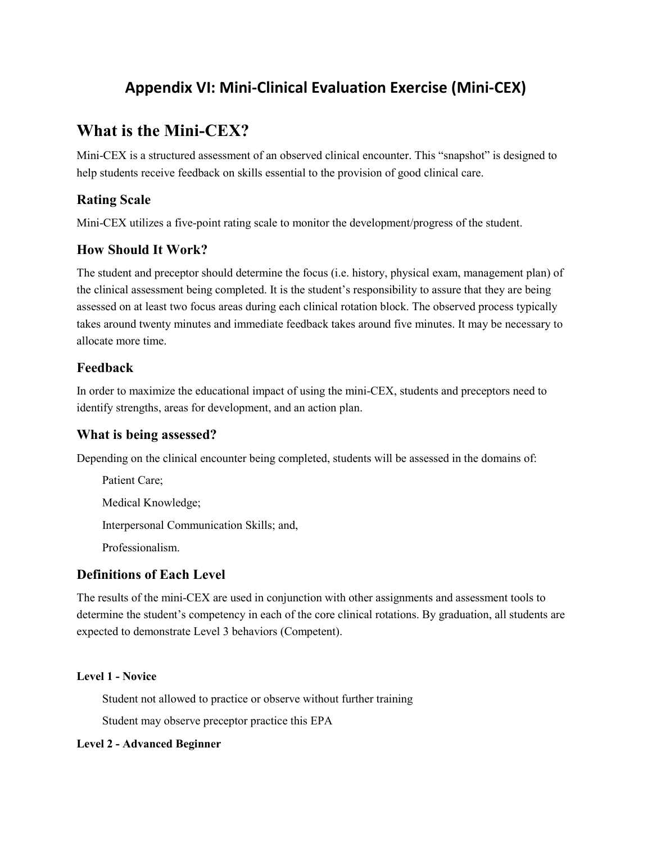# **Appendix VI: Mini-Clinical Evaluation Exercise (Mini-CEX)**

# **What is the Mini-CEX?**

Mini-CEX is a structured assessment of an observed clinical encounter. This "snapshot" is designed to help students receive feedback on skills essential to the provision of good clinical care.

## **Rating Scale**

Mini-CEX utilizes a five-point rating scale to monitor the development/progress of the student.

### **How Should It Work?**

The student and preceptor should determine the focus (i.e. history, physical exam, management plan) of the clinical assessment being completed. It is the student's responsibility to assure that they are being assessed on at least two focus areas during each clinical rotation block. The observed process typically takes around twenty minutes and immediate feedback takes around five minutes. It may be necessary to allocate more time.

### **Feedback**

In order to maximize the educational impact of using the mini-CEX, students and preceptors need to identify strengths, areas for development, and an action plan.

### **What is being assessed?**

Depending on the clinical encounter being completed, students will be assessed in the domains of:

Patient Care; Medical Knowledge; Interpersonal Communication Skills; and, Professionalism.

### **Definitions of Each Level**

The results of the mini-CEX are used in conjunction with other assignments and assessment tools to determine the student's competency in each of the core clinical rotations. By graduation, all students are expected to demonstrate Level 3 behaviors (Competent).

### **Level 1 - Novice**

Student not allowed to practice or observe without further training

Student may observe preceptor practice this EPA

### **Level 2 - Advanced Beginner**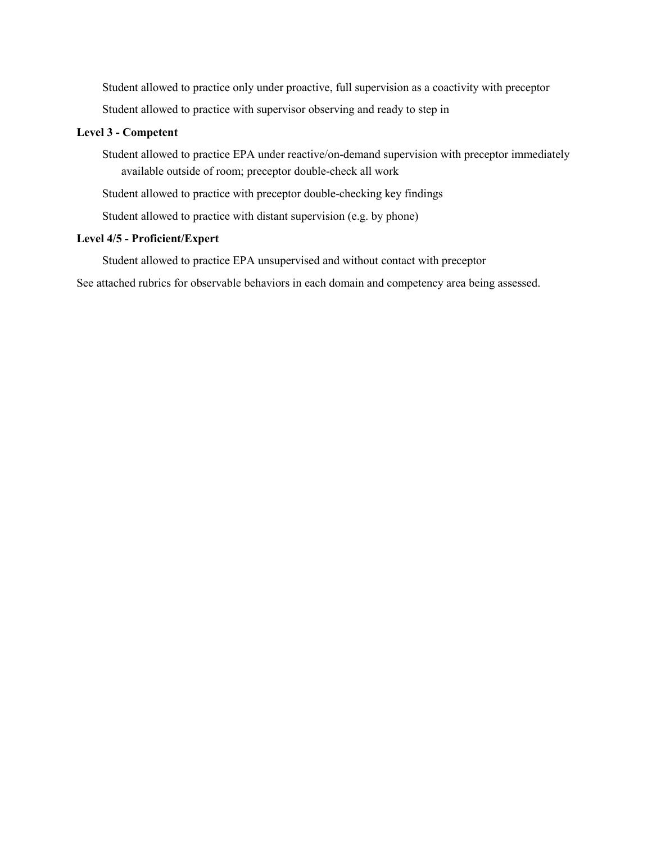Student allowed to practice only under proactive, full supervision as a coactivity with preceptor Student allowed to practice with supervisor observing and ready to step in

#### **Level 3 - Competent**

Student allowed to practice EPA under reactive/on-demand supervision with preceptor immediately available outside of room; preceptor double-check all work

Student allowed to practice with preceptor double-checking key findings

Student allowed to practice with distant supervision (e.g. by phone)

#### **Level 4/5 - Proficient/Expert**

Student allowed to practice EPA unsupervised and without contact with preceptor

See attached rubrics for observable behaviors in each domain and competency area being assessed.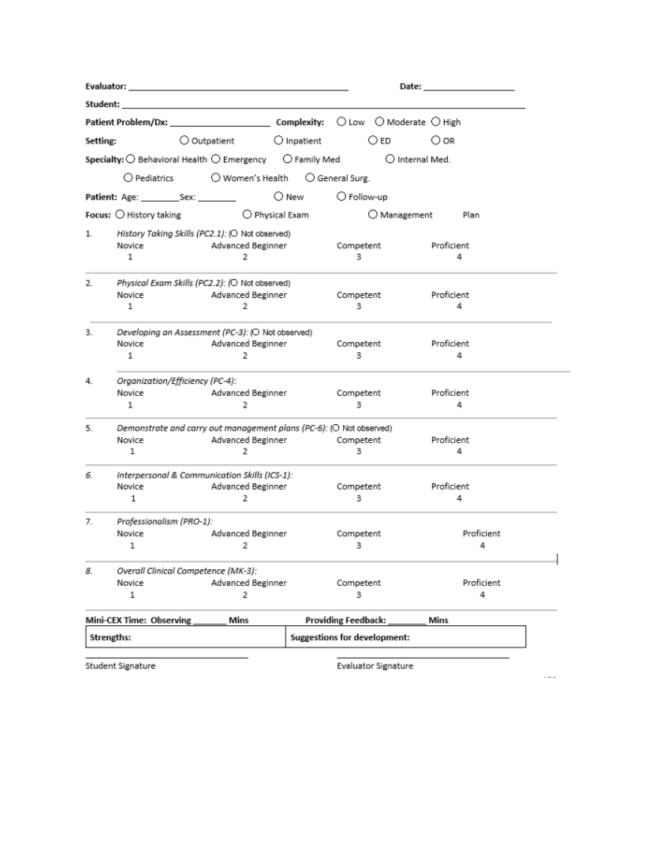|            |                                     | student: the contract of the contract of the contract of the contract of the contract of the contract of the contract of the contract of the contract of the contract of the contract of the contract of the contract of the c |           |                                     |                               |  |
|------------|-------------------------------------|--------------------------------------------------------------------------------------------------------------------------------------------------------------------------------------------------------------------------------|-----------|-------------------------------------|-------------------------------|--|
|            |                                     |                                                                                                                                                                                                                                |           |                                     |                               |  |
| Setting:   | O Outpatient O Inpatient            |                                                                                                                                                                                                                                |           | OED                                 | $O$ or                        |  |
|            |                                     | Specialty: ○ Behavioral Health ○ Emergency   ○ Family Med                                                                                                                                                                      |           |                                     | O Internal Med.               |  |
|            |                                     | ○ Pediatrics △ Women's Health △ General Surg.                                                                                                                                                                                  |           |                                     |                               |  |
|            |                                     |                                                                                                                                                                                                                                | O New     | O Follow-up                         |                               |  |
|            |                                     | Focus: ○ History taking <a> ○ Physical Exam</a>                                                                                                                                                                                |           |                                     | $\bigcirc$ Management<br>Plan |  |
| 1.         |                                     | History Taking Skills (PC2.1): (O Not observed)                                                                                                                                                                                |           |                                     |                               |  |
|            | Novice                              | Advanced Beginner                                                                                                                                                                                                              |           | Competent                           | Proficient                    |  |
|            | 1                                   | 2                                                                                                                                                                                                                              |           | з                                   | 4                             |  |
| 2.         |                                     | Physical Exam Skills (PC2.2): (O Not observed)                                                                                                                                                                                 |           |                                     |                               |  |
|            | Novice                              | Advanced Beginner                                                                                                                                                                                                              |           | Competent                           | Proficient                    |  |
|            | 1                                   | 2                                                                                                                                                                                                                              |           | з                                   | 4                             |  |
| 3.         |                                     | Developing an Assessment (PC-3): (O Not observed)                                                                                                                                                                              |           |                                     |                               |  |
|            | Novice                              | Advanced Beginner                                                                                                                                                                                                              | Competent |                                     | Proficient<br>4               |  |
|            | 1                                   | $\overline{2}$                                                                                                                                                                                                                 |           | 3                                   |                               |  |
| 4.         | Organization/Efficiency (PC-4):     |                                                                                                                                                                                                                                |           |                                     |                               |  |
|            | Novice                              | Advanced Beginner                                                                                                                                                                                                              |           | Competent                           | Proficient                    |  |
|            | 1                                   | 2                                                                                                                                                                                                                              |           | 3                                   | 4                             |  |
| 5.         |                                     | Demonstrate and carry out management plans (PC-6): (O Not observed)                                                                                                                                                            |           |                                     |                               |  |
|            | Novice                              | Advanced Beginner                                                                                                                                                                                                              |           | Competent                           | Proficient                    |  |
|            | 1                                   | $\overline{2}$                                                                                                                                                                                                                 |           | з                                   | 4                             |  |
| б.         |                                     | Interpersonal & Communication Skills (ICS-1):                                                                                                                                                                                  |           |                                     |                               |  |
|            | Novice                              | Advanced Beginner                                                                                                                                                                                                              |           | Competent                           | Proficient                    |  |
|            | 1                                   | 2                                                                                                                                                                                                                              |           | з                                   | 4                             |  |
| 7.         | Professionalism (PRO-1):            |                                                                                                                                                                                                                                |           |                                     |                               |  |
|            | Novice                              | Advanced Beginner                                                                                                                                                                                                              |           | Competent                           | Proficient                    |  |
|            | 1                                   | 2                                                                                                                                                                                                                              |           | 3                                   | 4                             |  |
| 8.         | Overall Clinical Competence (MK-3): |                                                                                                                                                                                                                                |           |                                     |                               |  |
|            | Novice                              | Advanced Beginner                                                                                                                                                                                                              |           | Competent                           | Proficient                    |  |
|            | 1                                   | 2                                                                                                                                                                                                                              |           | 3                                   | 4                             |  |
|            | Mini-CEX Time: Observing            | <b>Mins</b>                                                                                                                                                                                                                    |           | <b>Providing Feedback:</b>          | Mins                          |  |
| Strengths: |                                     |                                                                                                                                                                                                                                |           | <b>Suggestions for development:</b> |                               |  |
|            |                                     |                                                                                                                                                                                                                                |           |                                     |                               |  |

Student Signature

Evaluator Signature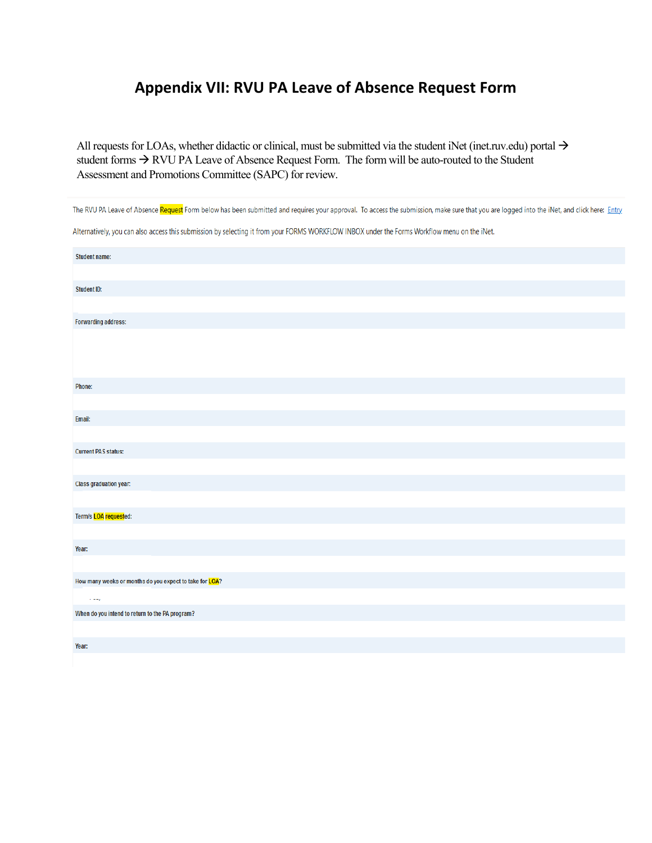## **Appendix VII: RVU PA Leave of Absence Request Form**

All requests for LOAs, whether didactic or clinical, must be submitted via the student iNet (inet.ruv.edu) portal  $\rightarrow$ student forms  $\rightarrow$  RVU PA Leave of Absence Request Form. The form will be auto-routed to the Student Assessment and Promotions Committee (SAPC) for review.

The RVU PA Leave of Absence Request Form below has been submitted and requires your approval. To access the submission, make sure that you are logged into the iNet, and click here: Entry

Alternatively, you can also access this submission by selecting it from your FORMS WORKFLOW INBOX under the Forms Workflow menu on the iNet.

| <b>Student name:</b>                                    |
|---------------------------------------------------------|
|                                                         |
| <b>Student ID:</b>                                      |
|                                                         |
| <b>Forwarding address:</b>                              |
|                                                         |
|                                                         |
|                                                         |
| <b>Phone:</b>                                           |
|                                                         |
| Email:                                                  |
|                                                         |
| <b>Current PAS status:</b>                              |
|                                                         |
| <b>Class graduation year:</b>                           |
|                                                         |
| Term/s LOA requested:                                   |
|                                                         |
| Year:                                                   |
|                                                         |
| How many weeks or months do you expect to take for LOA? |
| $\sim$ $ \sim$                                          |
| When do you intend to return to the PA program?         |
|                                                         |
| Year:                                                   |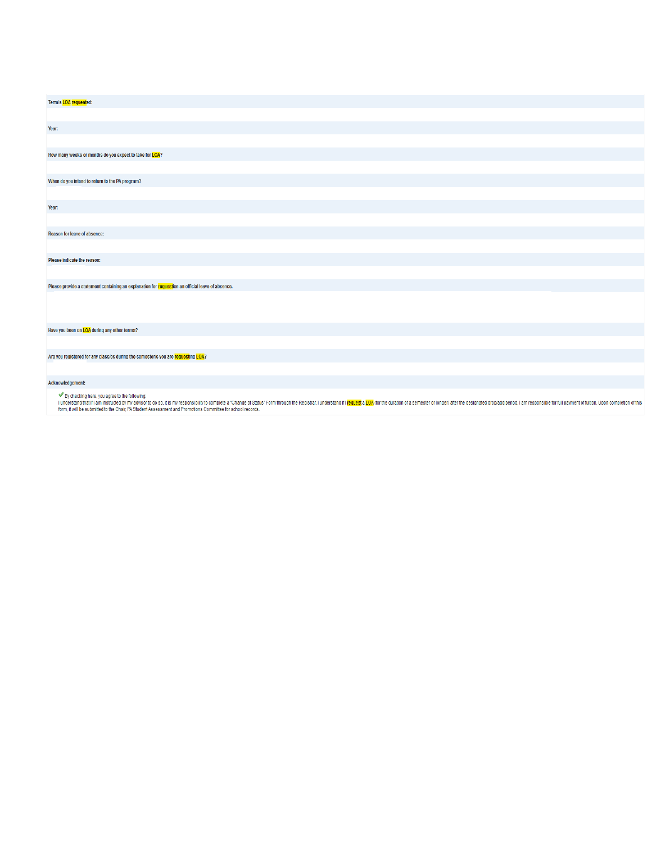| Term/s LOA requested:                                                                             |
|---------------------------------------------------------------------------------------------------|
|                                                                                                   |
| Year:                                                                                             |
|                                                                                                   |
| How many weeks or months do you expect to take for LOA?                                           |
|                                                                                                   |
| When do you intend to return to the PA program?                                                   |
|                                                                                                   |
| Year:                                                                                             |
|                                                                                                   |
| Reason for leave of absence:                                                                      |
|                                                                                                   |
| Please indicate the reason:                                                                       |
|                                                                                                   |
| Please provide a statement containing an explanation for requestion an official leave of absence. |
|                                                                                                   |
|                                                                                                   |
| Have you been on <b>LOA</b> during any other terms?                                               |
|                                                                                                   |
| Are you registered for any classies during the semesteris you are requesting LOA?                 |
|                                                                                                   |
| Acknowledgement:                                                                                  |
| By checking here, you agree to the following:                                                     |

> py userang hat if am instuded by my advisor to do so, it is my responsibility to complete a "Change of Status" Form through the Registrar. I understand if I <mark>request</mark> a LOA (for the duration of a semester or longer) afte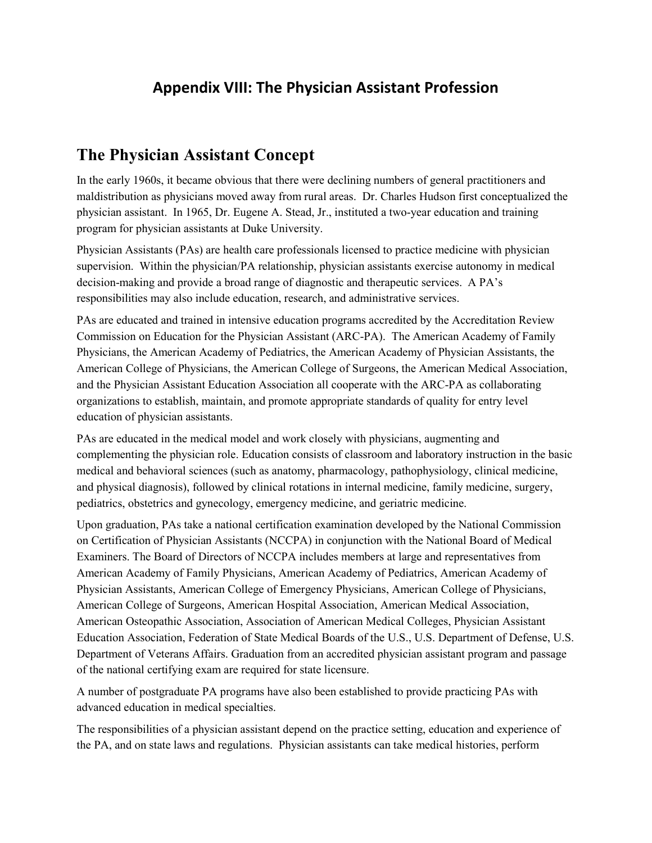## **Appendix VIII: The Physician Assistant Profession**

## **The Physician Assistant Concept**

In the early 1960s, it became obvious that there were declining numbers of general practitioners and maldistribution as physicians moved away from rural areas. Dr. Charles Hudson first conceptualized the physician assistant. In 1965, Dr. Eugene A. Stead, Jr., instituted a two-year education and training program for physician assistants at Duke University.

Physician Assistants (PAs) are health care professionals licensed to practice medicine with physician supervision. Within the physician/PA relationship, physician assistants exercise autonomy in medical decision-making and provide a broad range of diagnostic and therapeutic services. A PA's responsibilities may also include education, research, and administrative services.

PAs are educated and trained in intensive education programs accredited by the Accreditation Review Commission on Education for the Physician Assistant (ARC-PA). The American Academy of Family Physicians, the American Academy of Pediatrics, the American Academy of Physician Assistants, the American College of Physicians, the American College of Surgeons, the American Medical Association, and the Physician Assistant Education Association all cooperate with the ARC-PA as collaborating organizations to establish, maintain, and promote appropriate standards of quality for entry level education of physician assistants.

PAs are educated in the medical model and work closely with physicians, augmenting and complementing the physician role. Education consists of classroom and laboratory instruction in the basic medical and behavioral sciences (such as anatomy, pharmacology, pathophysiology, clinical medicine, and physical diagnosis), followed by clinical rotations in internal medicine, family medicine, surgery, pediatrics, obstetrics and gynecology, emergency medicine, and geriatric medicine.

Upon graduation, PAs take a national certification examination developed by the National Commission on Certification of Physician Assistants (NCCPA) in conjunction with the National Board of Medical Examiners. The Board of Directors of NCCPA includes members at large and representatives from American Academy of Family Physicians, American Academy of Pediatrics, American Academy of Physician Assistants, American College of Emergency Physicians, American College of Physicians, American College of Surgeons, American Hospital Association, American Medical Association, American Osteopathic Association, Association of American Medical Colleges, Physician Assistant Education Association, Federation of State Medical Boards of the U.S., U.S. Department of Defense, U.S. Department of Veterans Affairs. Graduation from an accredited physician assistant program and passage of the national certifying exam are required for state licensure.

A number of postgraduate PA programs have also been established to provide practicing PAs with advanced education in medical specialties.

The responsibilities of a physician assistant depend on the practice setting, education and experience of the PA, and on state laws and regulations. Physician assistants can take medical histories, perform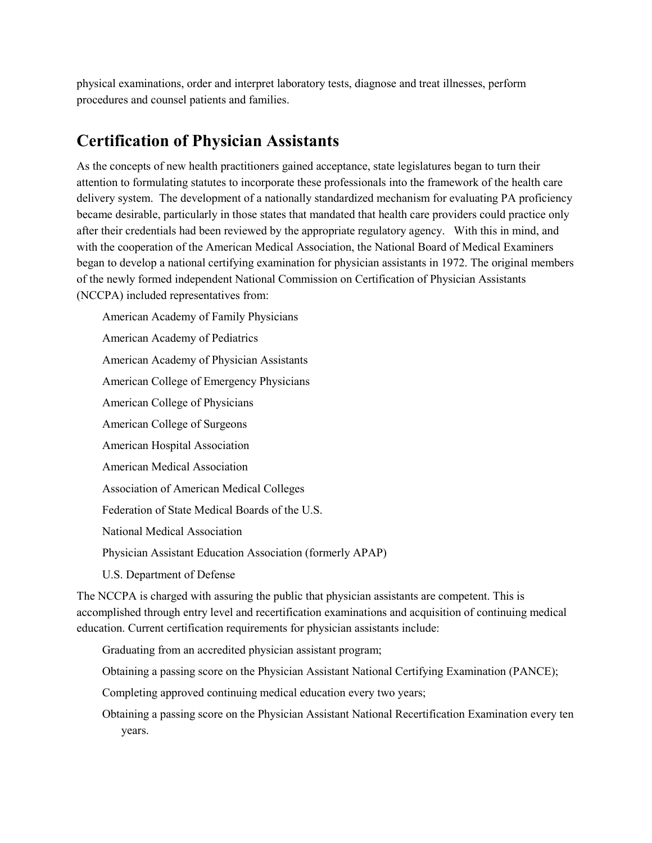physical examinations, order and interpret laboratory tests, diagnose and treat illnesses, perform procedures and counsel patients and families.

## **Certification of Physician Assistants**

As the concepts of new health practitioners gained acceptance, state legislatures began to turn their attention to formulating statutes to incorporate these professionals into the framework of the health care delivery system. The development of a nationally standardized mechanism for evaluating PA proficiency became desirable, particularly in those states that mandated that health care providers could practice only after their credentials had been reviewed by the appropriate regulatory agency. With this in mind, and with the cooperation of the American Medical Association, the National Board of Medical Examiners began to develop a national certifying examination for physician assistants in 1972. The original members of the newly formed independent National Commission on Certification of Physician Assistants (NCCPA) included representatives from:

American Academy of Family Physicians American Academy of Pediatrics American Academy of Physician Assistants American College of Emergency Physicians American College of Physicians American College of Surgeons American Hospital Association American Medical Association Association of American Medical Colleges Federation of State Medical Boards of the U.S. National Medical Association Physician Assistant Education Association (formerly APAP) U.S. Department of Defense The NCCPA is charged with assuring the public that physician assistants are competent. This is accomplished through entry level and recertification examinations and acquisition of continuing medical education. Current certification requirements for physician assistants include: Graduating from an accredited physician assistant program; Obtaining a passing score on the Physician Assistant National Certifying Examination (PANCE);

Completing approved continuing medical education every two years;

Obtaining a passing score on the Physician Assistant National Recertification Examination every ten years.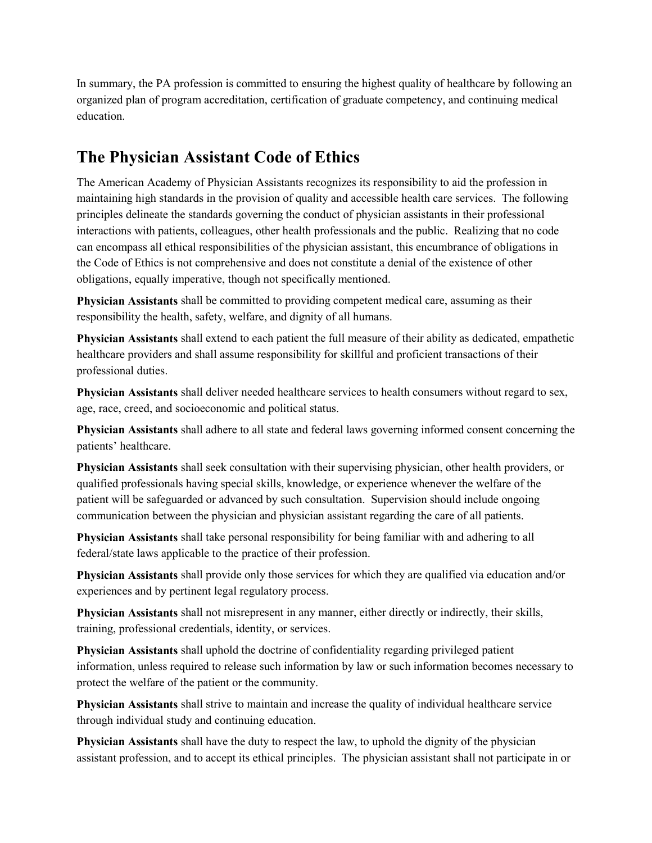In summary, the PA profession is committed to ensuring the highest quality of healthcare by following an organized plan of program accreditation, certification of graduate competency, and continuing medical education.

## **The Physician Assistant Code of Ethics**

The American Academy of Physician Assistants recognizes its responsibility to aid the profession in maintaining high standards in the provision of quality and accessible health care services. The following principles delineate the standards governing the conduct of physician assistants in their professional interactions with patients, colleagues, other health professionals and the public. Realizing that no code can encompass all ethical responsibilities of the physician assistant, this encumbrance of obligations in the Code of Ethics is not comprehensive and does not constitute a denial of the existence of other obligations, equally imperative, though not specifically mentioned.

**Physician Assistants** shall be committed to providing competent medical care, assuming as their responsibility the health, safety, welfare, and dignity of all humans.

**Physician Assistants** shall extend to each patient the full measure of their ability as dedicated, empathetic healthcare providers and shall assume responsibility for skillful and proficient transactions of their professional duties.

**Physician Assistants** shall deliver needed healthcare services to health consumers without regard to sex, age, race, creed, and socioeconomic and political status.

**Physician Assistants** shall adhere to all state and federal laws governing informed consent concerning the patients' healthcare.

**Physician Assistants** shall seek consultation with their supervising physician, other health providers, or qualified professionals having special skills, knowledge, or experience whenever the welfare of the patient will be safeguarded or advanced by such consultation. Supervision should include ongoing communication between the physician and physician assistant regarding the care of all patients.

**Physician Assistants** shall take personal responsibility for being familiar with and adhering to all federal/state laws applicable to the practice of their profession.

**Physician Assistants** shall provide only those services for which they are qualified via education and/or experiences and by pertinent legal regulatory process.

**Physician Assistants** shall not misrepresent in any manner, either directly or indirectly, their skills, training, professional credentials, identity, or services.

**Physician Assistants** shall uphold the doctrine of confidentiality regarding privileged patient information, unless required to release such information by law or such information becomes necessary to protect the welfare of the patient or the community.

**Physician Assistants** shall strive to maintain and increase the quality of individual healthcare service through individual study and continuing education.

**Physician Assistants** shall have the duty to respect the law, to uphold the dignity of the physician assistant profession, and to accept its ethical principles. The physician assistant shall not participate in or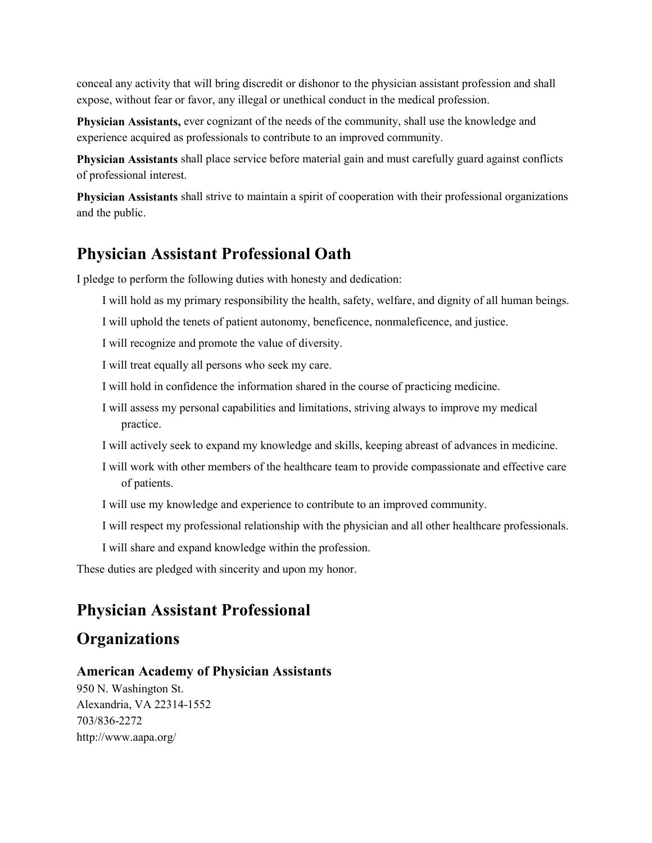conceal any activity that will bring discredit or dishonor to the physician assistant profession and shall expose, without fear or favor, any illegal or unethical conduct in the medical profession.

**Physician Assistants,** ever cognizant of the needs of the community, shall use the knowledge and experience acquired as professionals to contribute to an improved community.

**Physician Assistants** shall place service before material gain and must carefully guard against conflicts of professional interest.

**Physician Assistants** shall strive to maintain a spirit of cooperation with their professional organizations and the public.

## **Physician Assistant Professional Oath**

I pledge to perform the following duties with honesty and dedication:

- I will hold as my primary responsibility the health, safety, welfare, and dignity of all human beings.
- I will uphold the tenets of patient autonomy, beneficence, nonmaleficence, and justice.
- I will recognize and promote the value of diversity.
- I will treat equally all persons who seek my care.
- I will hold in confidence the information shared in the course of practicing medicine.
- I will assess my personal capabilities and limitations, striving always to improve my medical practice.
- I will actively seek to expand my knowledge and skills, keeping abreast of advances in medicine.
- I will work with other members of the healthcare team to provide compassionate and effective care of patients.
- I will use my knowledge and experience to contribute to an improved community.
- I will respect my professional relationship with the physician and all other healthcare professionals.
- I will share and expand knowledge within the profession.

These duties are pledged with sincerity and upon my honor.

# **Physician Assistant Professional**

## **Organizations**

### **American Academy of Physician Assistants**

950 N. Washington St. Alexandria, VA 22314-1552 703/836-2272 http://www.aapa.org/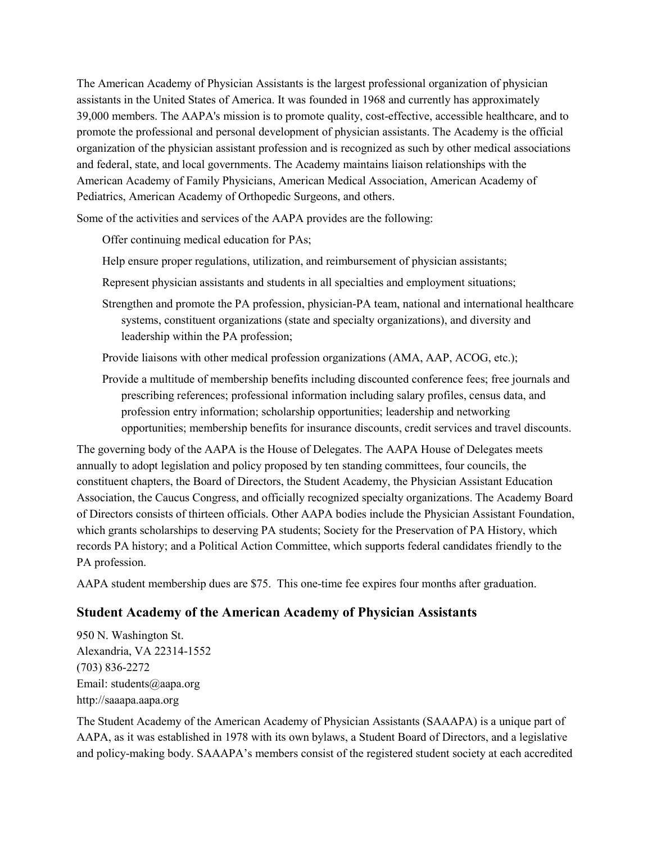The American Academy of Physician Assistants is the largest professional organization of physician assistants in the United States of America. It was founded in 1968 and currently has approximately 39,000 members. The AAPA's mission is to promote quality, cost-effective, accessible healthcare, and to promote the professional and personal development of physician assistants. The Academy is the official organization of the physician assistant profession and is recognized as such by other medical associations and federal, state, and local governments. The Academy maintains liaison relationships with the American Academy of Family Physicians, American Medical Association, American Academy of Pediatrics, American Academy of Orthopedic Surgeons, and others.

Some of the activities and services of the AAPA provides are the following:

Offer continuing medical education for PAs;

Help ensure proper regulations, utilization, and reimbursement of physician assistants;

Represent physician assistants and students in all specialties and employment situations;

Strengthen and promote the PA profession, physician-PA team, national and international healthcare systems, constituent organizations (state and specialty organizations), and diversity and leadership within the PA profession;

Provide liaisons with other medical profession organizations (AMA, AAP, ACOG, etc.);

Provide a multitude of membership benefits including discounted conference fees; free journals and prescribing references; professional information including salary profiles, census data, and profession entry information; scholarship opportunities; leadership and networking opportunities; membership benefits for insurance discounts, credit services and travel discounts.

The governing body of the AAPA is the House of Delegates. The AAPA House of Delegates meets annually to adopt legislation and policy proposed by ten standing committees, four councils, the constituent chapters, the Board of Directors, the Student Academy, the Physician Assistant Education Association, the Caucus Congress, and officially recognized specialty organizations. The Academy Board of Directors consists of thirteen officials. Other AAPA bodies include the Physician Assistant Foundation, which grants scholarships to deserving PA students; Society for the Preservation of PA History, which records PA history; and a Political Action Committee, which supports federal candidates friendly to the PA profession.

AAPA student membership dues are \$75. This one-time fee expires four months after graduation.

### **Student Academy of the American Academy of Physician Assistants**

950 N. Washington St. Alexandria, VA 22314-1552 (703) 836-2272 Email: students@aapa.org http://saaapa.aapa.org

The Student Academy of the American Academy of Physician Assistants (SAAAPA) is a unique part of AAPA, as it was established in 1978 with its own bylaws, a Student Board of Directors, and a legislative and policy-making body. SAAAPA's members consist of the registered student society at each accredited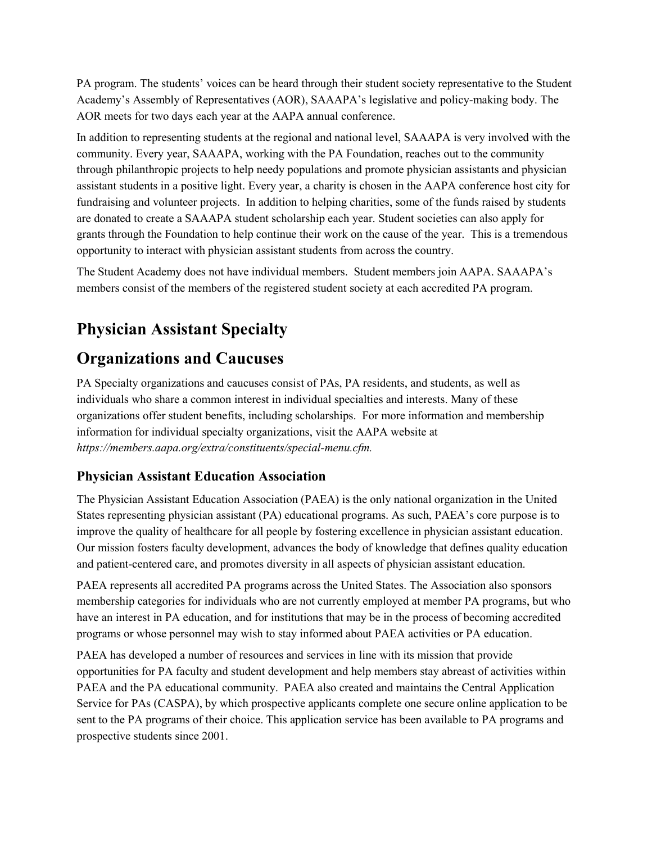PA program. The students' voices can be heard through their student society representative to the Student Academy's Assembly of Representatives (AOR), SAAAPA's legislative and policy-making body. The AOR meets for two days each year at the AAPA annual conference.

In addition to representing students at the regional and national level, SAAAPA is very involved with the community. Every year, SAAAPA, working with the PA Foundation, reaches out to the community through philanthropic projects to help needy populations and promote physician assistants and physician assistant students in a positive light. Every year, a charity is chosen in the AAPA conference host city for fundraising and volunteer projects. In addition to helping charities, some of the funds raised by students are donated to create a SAAAPA student scholarship each year. Student societies can also apply for grants through the Foundation to help continue their work on the cause of the year. This is a tremendous opportunity to interact with physician assistant students from across the country.

The Student Academy does not have individual members. Student members join AAPA. SAAAPA's members consist of the members of the registered student society at each accredited PA program.

# **Physician Assistant Specialty**

# **Organizations and Caucuses**

PA Specialty organizations and caucuses consist of PAs, PA residents, and students, as well as individuals who share a common interest in individual specialties and interests. Many of these organizations offer student benefits, including scholarships. For more information and membership information for individual specialty organizations, visit the AAPA website at *https://members.aapa.org/extra/constituents/special-menu.cfm.*

## **Physician Assistant Education Association**

The Physician Assistant Education Association (PAEA) is the only national organization in the United States representing physician assistant (PA) educational programs. As such, PAEA's core purpose is to improve the quality of healthcare for all people by fostering excellence in physician assistant education. Our mission fosters faculty development, advances the body of knowledge that defines quality education and patient-centered care, and promotes diversity in all aspects of physician assistant education.

PAEA represents all accredited PA programs across the United States. The Association also sponsors membership categories for individuals who are not currently employed at member PA programs, but who have an interest in PA education, and for institutions that may be in the process of becoming accredited programs or whose personnel may wish to stay informed about PAEA activities or PA education.

PAEA has developed a number of resources and services in line with its mission that provide opportunities for PA faculty and student development and help members stay abreast of activities within PAEA and the PA educational community. PAEA also created and maintains the Central Application Service for PAs (CASPA), by which prospective applicants complete one secure online application to be sent to the PA programs of their choice. This application service has been available to PA programs and prospective students since 2001.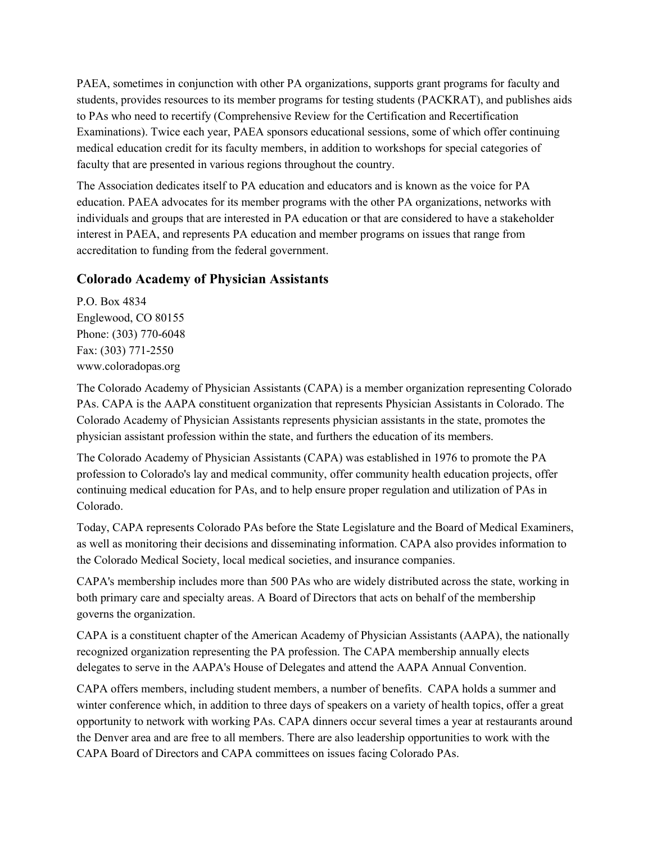PAEA, sometimes in conjunction with other PA organizations, supports grant programs for faculty and students, provides resources to its member programs for testing students (PACKRAT), and publishes aids to PAs who need to recertify (Comprehensive Review for the Certification and Recertification Examinations). Twice each year, PAEA sponsors educational sessions, some of which offer continuing medical education credit for its faculty members, in addition to workshops for special categories of faculty that are presented in various regions throughout the country.

The Association dedicates itself to PA education and educators and is known as the voice for PA education. PAEA advocates for its member programs with the other PA organizations, networks with individuals and groups that are interested in PA education or that are considered to have a stakeholder interest in PAEA, and represents PA education and member programs on issues that range from accreditation to funding from the federal government.

### **Colorado Academy of Physician Assistants**

P.O. Box 4834 Englewood, CO 80155 Phone: (303) 770-6048 Fax: (303) 771-2550 www.coloradopas.org

The Colorado Academy of Physician Assistants (CAPA) is a member organization representing Colorado PAs. CAPA is the AAPA constituent organization that represents Physician Assistants in Colorado. The Colorado Academy of Physician Assistants represents physician assistants in the state, promotes the physician assistant profession within the state, and furthers the education of its members.

The Colorado Academy of Physician Assistants (CAPA) was established in 1976 to promote the PA profession to Colorado's lay and medical community, offer community health education projects, offer continuing medical education for PAs, and to help ensure proper regulation and utilization of PAs in Colorado.

Today, CAPA represents Colorado PAs before the State Legislature and the Board of Medical Examiners, as well as monitoring their decisions and disseminating information. CAPA also provides information to the Colorado Medical Society, local medical societies, and insurance companies.

CAPA's membership includes more than 500 PAs who are widely distributed across the state, working in both primary care and specialty areas. A Board of Directors that acts on behalf of the membership governs the organization.

CAPA is a constituent chapter of the American Academy of Physician Assistants (AAPA), the nationally recognized organization representing the PA profession. The CAPA membership annually elects delegates to serve in the AAPA's House of Delegates and attend the AAPA Annual Convention.

CAPA offers members, including student members, a number of benefits. CAPA holds a summer and winter conference which, in addition to three days of speakers on a variety of health topics, offer a great opportunity to network with working PAs. CAPA dinners occur several times a year at restaurants around the Denver area and are free to all members. There are also leadership opportunities to work with the CAPA Board of Directors and CAPA committees on issues facing Colorado PAs.